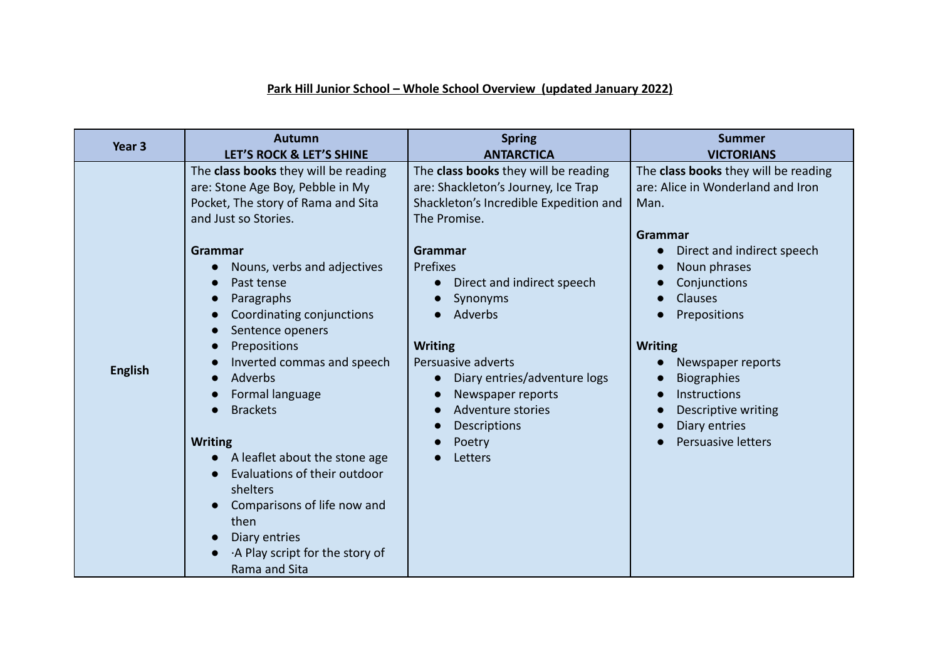## **Park Hill Junior School – Whole School Overview (updated January 2022)**

| Year <sub>3</sub> | <b>Autumn</b>                                                                                                                                                                                                                                                                                                                                                                                                                                                                                                                                                                                                                                  | <b>Spring</b>                                                                                                                                                                                                                                                                                                                                                                                             | <b>Summer</b>                                                                                                                                                                                                                                                                                                                           |
|-------------------|------------------------------------------------------------------------------------------------------------------------------------------------------------------------------------------------------------------------------------------------------------------------------------------------------------------------------------------------------------------------------------------------------------------------------------------------------------------------------------------------------------------------------------------------------------------------------------------------------------------------------------------------|-----------------------------------------------------------------------------------------------------------------------------------------------------------------------------------------------------------------------------------------------------------------------------------------------------------------------------------------------------------------------------------------------------------|-----------------------------------------------------------------------------------------------------------------------------------------------------------------------------------------------------------------------------------------------------------------------------------------------------------------------------------------|
|                   | LET'S ROCK & LET'S SHINE                                                                                                                                                                                                                                                                                                                                                                                                                                                                                                                                                                                                                       | <b>ANTARCTICA</b>                                                                                                                                                                                                                                                                                                                                                                                         | <b>VICTORIANS</b>                                                                                                                                                                                                                                                                                                                       |
| <b>English</b>    | The class books they will be reading<br>are: Stone Age Boy, Pebble in My<br>Pocket, The story of Rama and Sita<br>and Just so Stories.<br><b>Grammar</b><br>Nouns, verbs and adjectives<br>$\bullet$<br>Past tense<br>Paragraphs<br>$\bullet$<br>Coordinating conjunctions<br>Sentence openers<br>$\bullet$<br>Prepositions<br>$\bullet$<br>Inverted commas and speech<br>Adverbs<br>$\bullet$<br>Formal language<br><b>Brackets</b><br><b>Writing</b><br>A leaflet about the stone age<br>Evaluations of their outdoor<br>shelters<br>Comparisons of life now and<br>then<br>Diary entries<br>A Play script for the story of<br>Rama and Sita | The class books they will be reading<br>are: Shackleton's Journey, Ice Trap<br>Shackleton's Incredible Expedition and<br>The Promise.<br><b>Grammar</b><br>Prefixes<br>Direct and indirect speech<br>Synonyms<br>Adverbs<br><b>Writing</b><br>Persuasive adverts<br>Diary entries/adventure logs<br>$\bullet$<br>Newspaper reports<br>Adventure stories<br>$\bullet$<br>Descriptions<br>Poetry<br>Letters | The class books they will be reading<br>are: Alice in Wonderland and Iron<br>Man.<br>Grammar<br>Direct and indirect speech<br>Noun phrases<br>Conjunctions<br>Clauses<br>Prepositions<br><b>Writing</b><br>Newspaper reports<br><b>Biographies</b><br>Instructions<br>Descriptive writing<br>Diary entries<br><b>Persuasive letters</b> |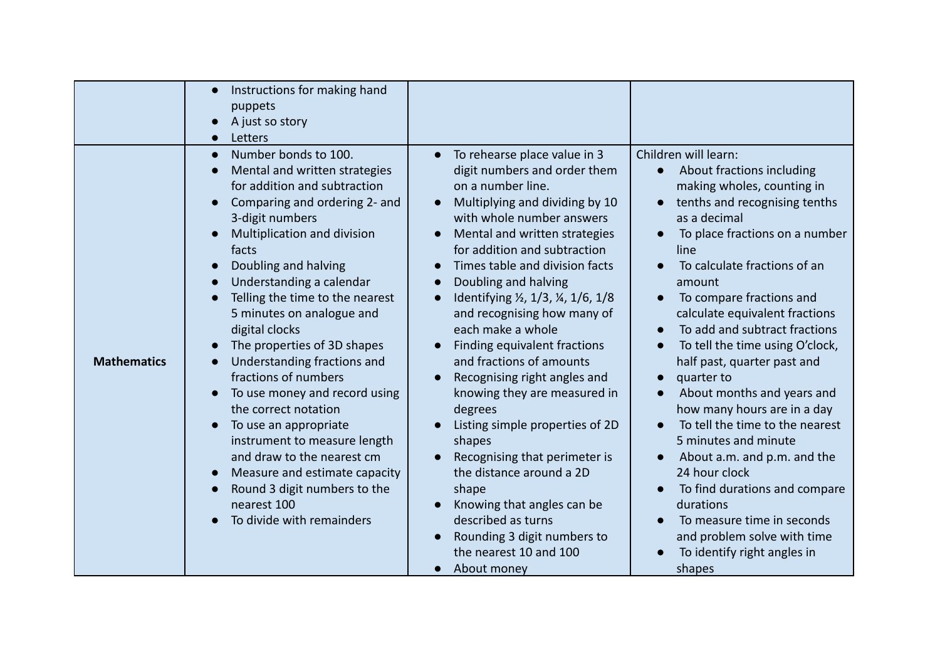|                    | Instructions for making hand<br>puppets<br>A just so story<br>Letters                                                                                                                                                                                                                                                                                                                                                                                                                                                                                                                                                                                                      |                                                                                                                                                                                                                                                                                                                                                                                                                                                                                                                                                                                                                                                                                                                                                                                                                                                         |                                                                                                                                                                                                                                                                                                                                                                                                                                                                                                                                                                                                                                                                                                                                 |
|--------------------|----------------------------------------------------------------------------------------------------------------------------------------------------------------------------------------------------------------------------------------------------------------------------------------------------------------------------------------------------------------------------------------------------------------------------------------------------------------------------------------------------------------------------------------------------------------------------------------------------------------------------------------------------------------------------|---------------------------------------------------------------------------------------------------------------------------------------------------------------------------------------------------------------------------------------------------------------------------------------------------------------------------------------------------------------------------------------------------------------------------------------------------------------------------------------------------------------------------------------------------------------------------------------------------------------------------------------------------------------------------------------------------------------------------------------------------------------------------------------------------------------------------------------------------------|---------------------------------------------------------------------------------------------------------------------------------------------------------------------------------------------------------------------------------------------------------------------------------------------------------------------------------------------------------------------------------------------------------------------------------------------------------------------------------------------------------------------------------------------------------------------------------------------------------------------------------------------------------------------------------------------------------------------------------|
| <b>Mathematics</b> | Number bonds to 100.<br>Mental and written strategies<br>for addition and subtraction<br>Comparing and ordering 2- and<br>3-digit numbers<br>Multiplication and division<br>facts<br>Doubling and halving<br>Understanding a calendar<br>Telling the time to the nearest<br>5 minutes on analogue and<br>digital clocks<br>The properties of 3D shapes<br>Understanding fractions and<br>fractions of numbers<br>To use money and record using<br>the correct notation<br>To use an appropriate<br>instrument to measure length<br>and draw to the nearest cm<br>Measure and estimate capacity<br>Round 3 digit numbers to the<br>nearest 100<br>To divide with remainders | To rehearse place value in 3<br>$\bullet$<br>digit numbers and order them<br>on a number line.<br>Multiplying and dividing by 10<br>$\bullet$<br>with whole number answers<br>Mental and written strategies<br>$\bullet$<br>for addition and subtraction<br>Times table and division facts<br>$\bullet$<br>Doubling and halving<br>$\bullet$<br>Identifying 1/2, 1/3, 1/4, 1/6, 1/8<br>$\bullet$<br>and recognising how many of<br>each make a whole<br>Finding equivalent fractions<br>and fractions of amounts<br>Recognising right angles and<br>knowing they are measured in<br>degrees<br>Listing simple properties of 2D<br>shapes<br>Recognising that perimeter is<br>the distance around a 2D<br>shape<br>Knowing that angles can be<br>described as turns<br>Rounding 3 digit numbers to<br>the nearest 10 and 100<br>About money<br>$\bullet$ | Children will learn:<br>About fractions including<br>making wholes, counting in<br>tenths and recognising tenths<br>as a decimal<br>To place fractions on a number<br>line<br>To calculate fractions of an<br>amount<br>To compare fractions and<br>calculate equivalent fractions<br>To add and subtract fractions<br>To tell the time using O'clock,<br>half past, quarter past and<br>quarter to<br>About months and years and<br>how many hours are in a day<br>To tell the time to the nearest<br>5 minutes and minute<br>About a.m. and p.m. and the<br>24 hour clock<br>To find durations and compare<br>durations<br>To measure time in seconds<br>and problem solve with time<br>To identify right angles in<br>shapes |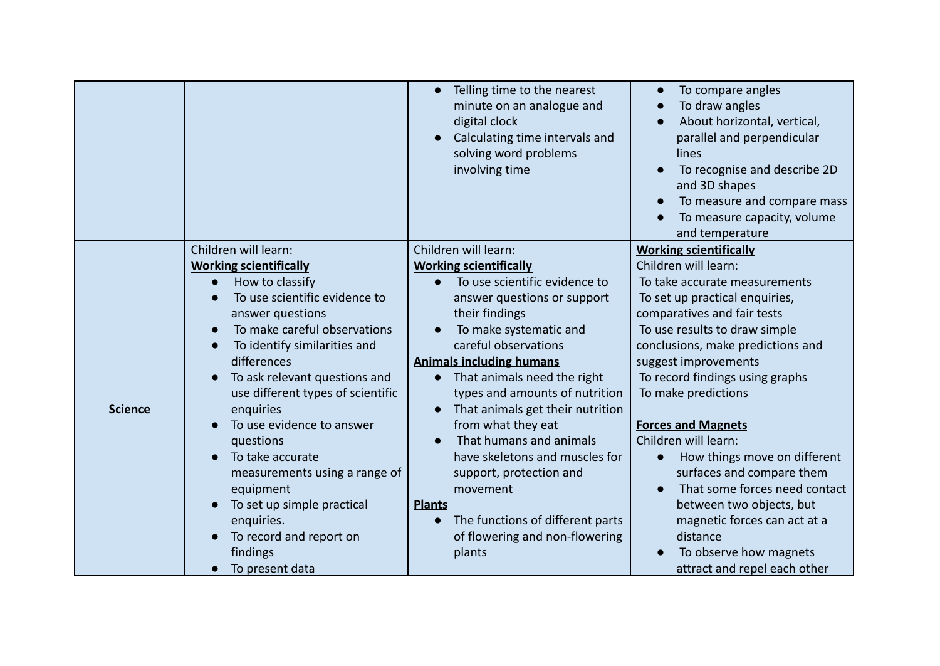|                |                                   | Telling time to the nearest<br>$\bullet$<br>minute on an analogue and<br>digital clock<br>Calculating time intervals and<br>solving word problems<br>involving time | To compare angles<br>To draw angles<br>About horizontal, vertical,<br>parallel and perpendicular<br>lines<br>To recognise and describe 2D<br>and 3D shapes<br>To measure and compare mass<br>To measure capacity, volume<br>and temperature |
|----------------|-----------------------------------|---------------------------------------------------------------------------------------------------------------------------------------------------------------------|---------------------------------------------------------------------------------------------------------------------------------------------------------------------------------------------------------------------------------------------|
|                | Children will learn:              | Children will learn:                                                                                                                                                | <b>Working scientifically</b>                                                                                                                                                                                                               |
|                | <b>Working scientifically</b>     | <b>Working scientifically</b>                                                                                                                                       | Children will learn:                                                                                                                                                                                                                        |
|                | How to classify                   | To use scientific evidence to                                                                                                                                       | To take accurate measurements                                                                                                                                                                                                               |
|                | To use scientific evidence to     | answer questions or support                                                                                                                                         | To set up practical enquiries,                                                                                                                                                                                                              |
|                | answer questions                  | their findings                                                                                                                                                      | comparatives and fair tests                                                                                                                                                                                                                 |
|                | To make careful observations      | To make systematic and                                                                                                                                              | To use results to draw simple                                                                                                                                                                                                               |
|                | To identify similarities and      | careful observations                                                                                                                                                | conclusions, make predictions and                                                                                                                                                                                                           |
|                | differences                       | <b>Animals including humans</b>                                                                                                                                     | suggest improvements                                                                                                                                                                                                                        |
|                | To ask relevant questions and     | That animals need the right<br>$\bullet$                                                                                                                            | To record findings using graphs                                                                                                                                                                                                             |
|                | use different types of scientific | types and amounts of nutrition                                                                                                                                      | To make predictions                                                                                                                                                                                                                         |
| <b>Science</b> | enquiries                         | That animals get their nutrition                                                                                                                                    |                                                                                                                                                                                                                                             |
|                | To use evidence to answer         | from what they eat                                                                                                                                                  | <b>Forces and Magnets</b>                                                                                                                                                                                                                   |
|                | questions                         | That humans and animals<br>$\bullet$                                                                                                                                | Children will learn:                                                                                                                                                                                                                        |
|                | To take accurate                  | have skeletons and muscles for                                                                                                                                      | How things move on different<br>$\bullet$                                                                                                                                                                                                   |
|                | measurements using a range of     | support, protection and                                                                                                                                             | surfaces and compare them                                                                                                                                                                                                                   |
|                | equipment                         | movement                                                                                                                                                            | That some forces need contact<br>$\bullet$                                                                                                                                                                                                  |
|                | To set up simple practical        | <b>Plants</b>                                                                                                                                                       | between two objects, but                                                                                                                                                                                                                    |
|                | enquiries.                        | The functions of different parts<br>$\bullet$                                                                                                                       | magnetic forces can act at a                                                                                                                                                                                                                |
|                | To record and report on           | of flowering and non-flowering                                                                                                                                      | distance                                                                                                                                                                                                                                    |
|                | findings                          | plants                                                                                                                                                              | To observe how magnets                                                                                                                                                                                                                      |
|                | To present data                   |                                                                                                                                                                     | attract and repel each other                                                                                                                                                                                                                |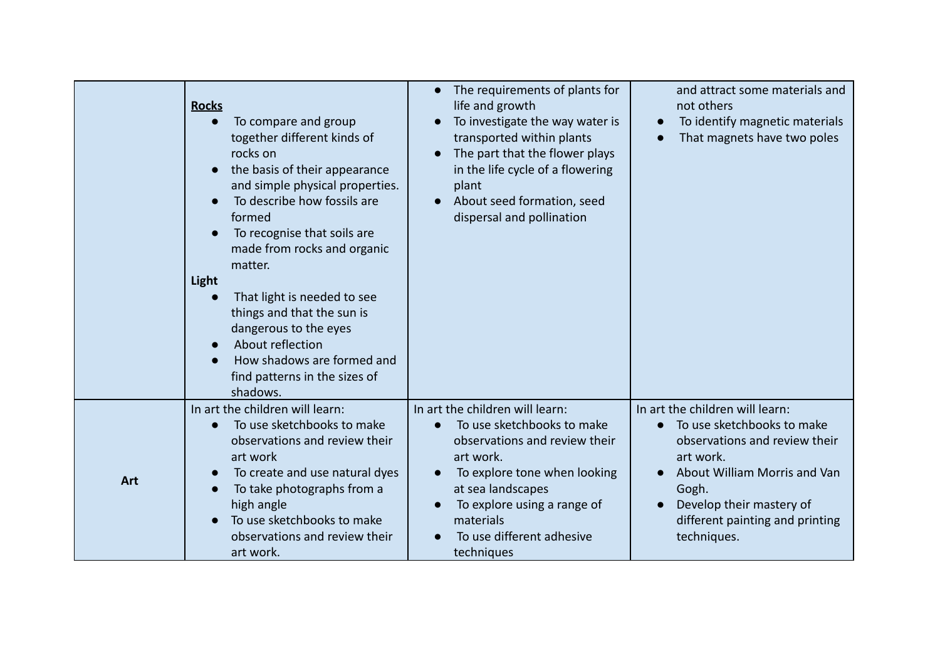|     | <b>Rocks</b><br>To compare and group<br>together different kinds of<br>rocks on<br>the basis of their appearance<br>and simple physical properties.<br>To describe how fossils are<br>formed<br>To recognise that soils are<br>made from rocks and organic<br>matter.<br>Light<br>That light is needed to see<br>things and that the sun is<br>dangerous to the eyes<br>About reflection<br>How shadows are formed and<br>find patterns in the sizes of<br>shadows. | The requirements of plants for<br>life and growth<br>To investigate the way water is<br>transported within plants<br>The part that the flower plays<br>in the life cycle of a flowering<br>plant<br>About seed formation, seed<br>$\bullet$<br>dispersal and pollination | and attract some materials and<br>not others<br>To identify magnetic materials<br>That magnets have two poles                                                                                                                      |
|-----|---------------------------------------------------------------------------------------------------------------------------------------------------------------------------------------------------------------------------------------------------------------------------------------------------------------------------------------------------------------------------------------------------------------------------------------------------------------------|--------------------------------------------------------------------------------------------------------------------------------------------------------------------------------------------------------------------------------------------------------------------------|------------------------------------------------------------------------------------------------------------------------------------------------------------------------------------------------------------------------------------|
| Art | In art the children will learn:<br>To use sketchbooks to make<br>observations and review their<br>art work<br>To create and use natural dyes<br>To take photographs from a<br>high angle<br>To use sketchbooks to make<br>observations and review their<br>art work.                                                                                                                                                                                                | In art the children will learn:<br>To use sketchbooks to make<br>observations and review their<br>art work.<br>To explore tone when looking<br>at sea landscapes<br>To explore using a range of<br>materials<br>To use different adhesive<br>techniques                  | In art the children will learn:<br>To use sketchbooks to make<br>observations and review their<br>art work.<br>About William Morris and Van<br>Gogh.<br>Develop their mastery of<br>different painting and printing<br>techniques. |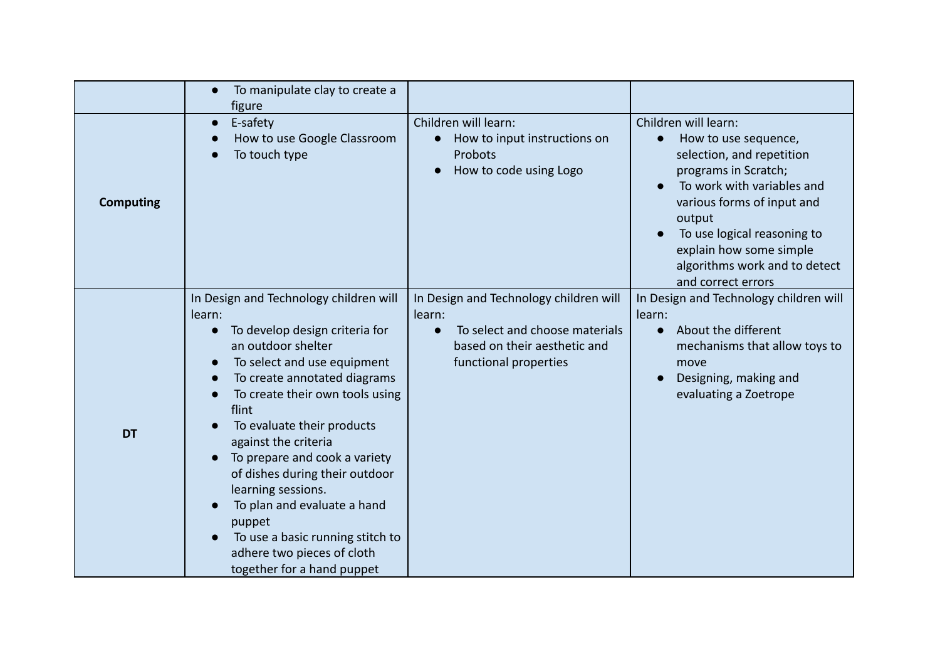|                  | To manipulate clay to create a<br>$\bullet$<br>figure                                                                                                                                                                                                                                                                                                                                                                                                                                                                                 |                                                                                                                                             |                                                                                                                                                                                                                                                                                                       |
|------------------|---------------------------------------------------------------------------------------------------------------------------------------------------------------------------------------------------------------------------------------------------------------------------------------------------------------------------------------------------------------------------------------------------------------------------------------------------------------------------------------------------------------------------------------|---------------------------------------------------------------------------------------------------------------------------------------------|-------------------------------------------------------------------------------------------------------------------------------------------------------------------------------------------------------------------------------------------------------------------------------------------------------|
| <b>Computing</b> | E-safety<br>$\bullet$<br>How to use Google Classroom<br>To touch type                                                                                                                                                                                                                                                                                                                                                                                                                                                                 | Children will learn:<br>How to input instructions on<br>Probots<br>How to code using Logo                                                   | Children will learn:<br>How to use sequence,<br>$\bullet$<br>selection, and repetition<br>programs in Scratch;<br>To work with variables and<br>various forms of input and<br>output<br>To use logical reasoning to<br>explain how some simple<br>algorithms work and to detect<br>and correct errors |
| <b>DT</b>        | In Design and Technology children will<br>learn:<br>To develop design criteria for<br>$\bullet$<br>an outdoor shelter<br>To select and use equipment<br>$\bullet$<br>To create annotated diagrams<br>To create their own tools using<br>flint<br>To evaluate their products<br>against the criteria<br>To prepare and cook a variety<br>of dishes during their outdoor<br>learning sessions.<br>To plan and evaluate a hand<br>puppet<br>To use a basic running stitch to<br>adhere two pieces of cloth<br>together for a hand puppet | In Design and Technology children will<br>learn:<br>To select and choose materials<br>based on their aesthetic and<br>functional properties | In Design and Technology children will<br>learn:<br>About the different<br>$\bullet$<br>mechanisms that allow toys to<br>move<br>Designing, making and<br>evaluating a Zoetrope                                                                                                                       |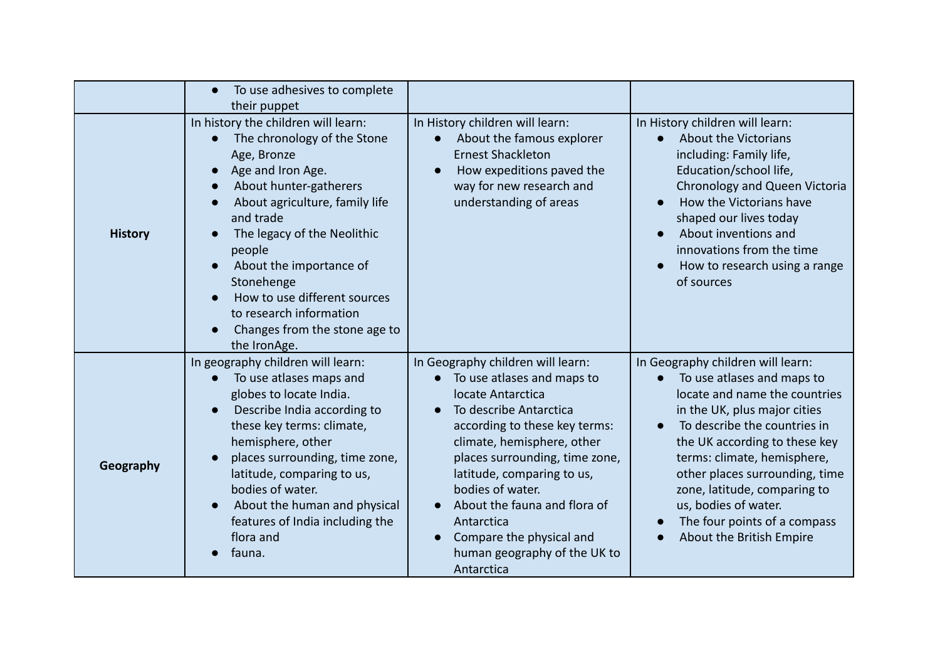|                | To use adhesives to complete<br>their puppet                                                                                                                                                                                                                                                                                                                                  |                                                                                                                                                                                                                                                                                                                                                                                                        |                                                                                                                                                                                                                                                                                                                                                                                        |
|----------------|-------------------------------------------------------------------------------------------------------------------------------------------------------------------------------------------------------------------------------------------------------------------------------------------------------------------------------------------------------------------------------|--------------------------------------------------------------------------------------------------------------------------------------------------------------------------------------------------------------------------------------------------------------------------------------------------------------------------------------------------------------------------------------------------------|----------------------------------------------------------------------------------------------------------------------------------------------------------------------------------------------------------------------------------------------------------------------------------------------------------------------------------------------------------------------------------------|
| <b>History</b> | In history the children will learn:<br>The chronology of the Stone<br>Age, Bronze<br>Age and Iron Age.<br>About hunter-gatherers<br>About agriculture, family life<br>and trade<br>The legacy of the Neolithic<br>people<br>About the importance of<br>Stonehenge<br>How to use different sources<br>to research information<br>Changes from the stone age to<br>the IronAge. | In History children will learn:<br>About the famous explorer<br><b>Ernest Shackleton</b><br>How expeditions paved the<br>way for new research and<br>understanding of areas                                                                                                                                                                                                                            | In History children will learn:<br>About the Victorians<br>including: Family life,<br>Education/school life,<br>Chronology and Queen Victoria<br>How the Victorians have<br>shaped our lives today<br>About inventions and<br>innovations from the time<br>How to research using a range<br>of sources                                                                                 |
| Geography      | In geography children will learn:<br>To use atlases maps and<br>globes to locate India.<br>Describe India according to<br>these key terms: climate,<br>hemisphere, other<br>places surrounding, time zone,<br>latitude, comparing to us,<br>bodies of water.<br>About the human and physical<br>features of India including the<br>flora and<br>fauna.                        | In Geography children will learn:<br>To use atlases and maps to<br>locate Antarctica<br>To describe Antarctica<br>according to these key terms:<br>climate, hemisphere, other<br>places surrounding, time zone,<br>latitude, comparing to us,<br>bodies of water.<br>About the fauna and flora of<br>Antarctica<br>Compare the physical and<br>$\bullet$<br>human geography of the UK to<br>Antarctica | In Geography children will learn:<br>To use atlases and maps to<br>locate and name the countries<br>in the UK, plus major cities<br>To describe the countries in<br>the UK according to these key<br>terms: climate, hemisphere,<br>other places surrounding, time<br>zone, latitude, comparing to<br>us, bodies of water.<br>The four points of a compass<br>About the British Empire |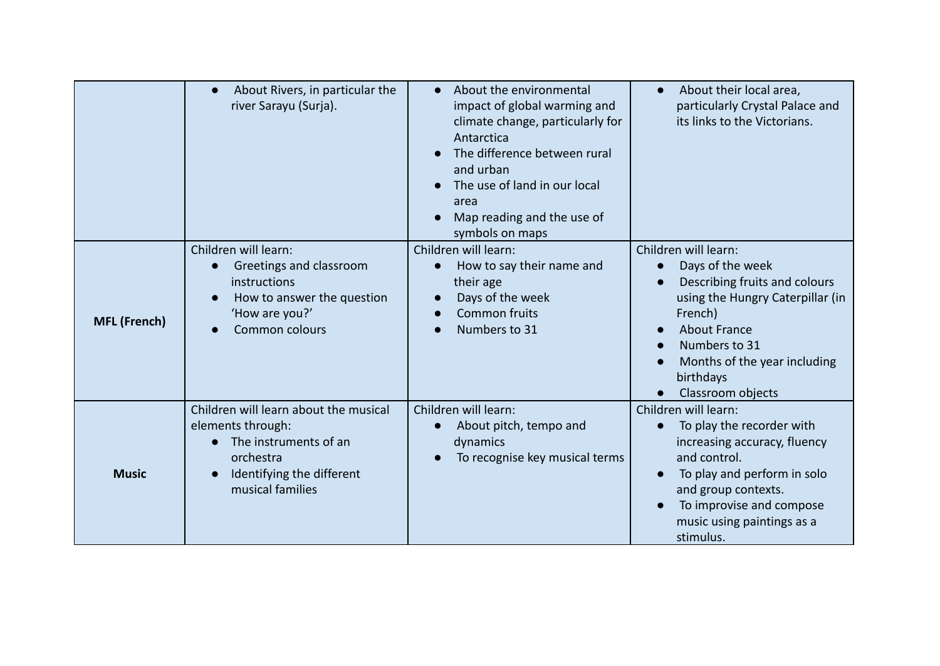|                     | About Rivers, in particular the<br>$\bullet$<br>river Sarayu (Surja).                                                                             | About the environmental<br>$\bullet$<br>impact of global warming and<br>climate change, particularly for<br>Antarctica<br>The difference between rural<br>and urban<br>The use of land in our local<br>area<br>Map reading and the use of<br>symbols on maps | About their local area,<br>particularly Crystal Palace and<br>its links to the Victorians.                                                                                                                                                      |
|---------------------|---------------------------------------------------------------------------------------------------------------------------------------------------|--------------------------------------------------------------------------------------------------------------------------------------------------------------------------------------------------------------------------------------------------------------|-------------------------------------------------------------------------------------------------------------------------------------------------------------------------------------------------------------------------------------------------|
| <b>MFL (French)</b> | Children will learn:<br>Greetings and classroom<br>$\bullet$<br>instructions<br>How to answer the question<br>'How are you?'<br>Common colours    | Children will learn:<br>How to say their name and<br>their age<br>Days of the week<br><b>Common fruits</b><br>Numbers to 31                                                                                                                                  | Children will learn:<br>Days of the week<br>$\bullet$<br>Describing fruits and colours<br>using the Hungry Caterpillar (in<br>French)<br><b>About France</b><br>Numbers to 31<br>Months of the year including<br>birthdays<br>Classroom objects |
| <b>Music</b>        | Children will learn about the musical<br>elements through:<br>The instruments of an<br>orchestra<br>Identifying the different<br>musical families | Children will learn:<br>About pitch, tempo and<br>dynamics<br>To recognise key musical terms                                                                                                                                                                 | Children will learn:<br>To play the recorder with<br>$\bullet$<br>increasing accuracy, fluency<br>and control.<br>To play and perform in solo<br>and group contexts.<br>To improvise and compose<br>music using paintings as a<br>stimulus.     |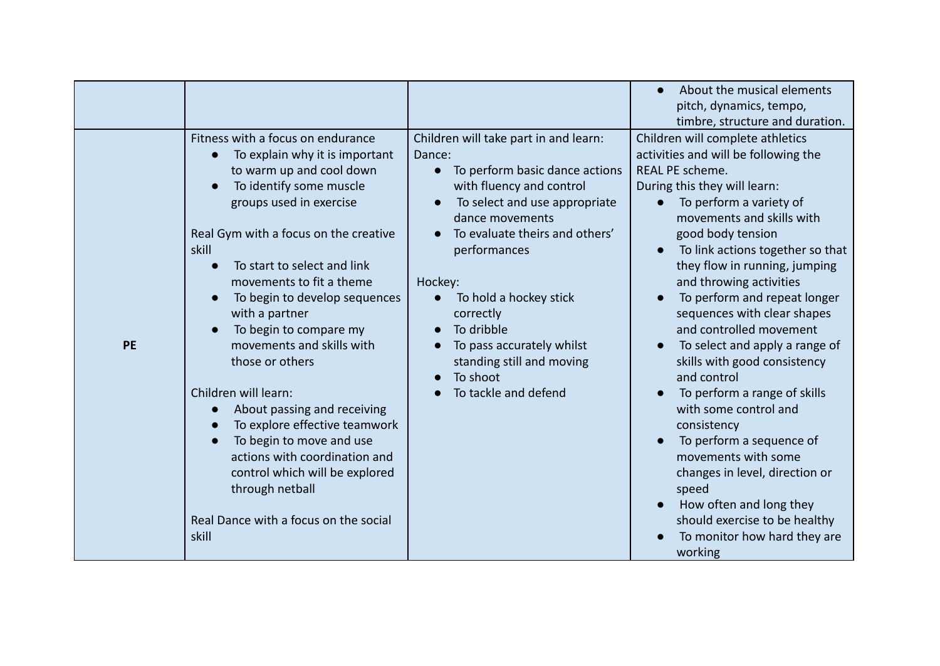|           |                                                                                                                                                                                                                                                                                                                                                                                                                                                                                                                                                                                                                                                                          |                                                                                                                                                                                                                                                                                                                                                                                                                                                    | About the musical elements<br>$\bullet$<br>pitch, dynamics, tempo,<br>timbre, structure and duration.                                                                                                                                                                                                                                                                                                                                                                                                                                                                                                                                                                                                                                                                                |
|-----------|--------------------------------------------------------------------------------------------------------------------------------------------------------------------------------------------------------------------------------------------------------------------------------------------------------------------------------------------------------------------------------------------------------------------------------------------------------------------------------------------------------------------------------------------------------------------------------------------------------------------------------------------------------------------------|----------------------------------------------------------------------------------------------------------------------------------------------------------------------------------------------------------------------------------------------------------------------------------------------------------------------------------------------------------------------------------------------------------------------------------------------------|--------------------------------------------------------------------------------------------------------------------------------------------------------------------------------------------------------------------------------------------------------------------------------------------------------------------------------------------------------------------------------------------------------------------------------------------------------------------------------------------------------------------------------------------------------------------------------------------------------------------------------------------------------------------------------------------------------------------------------------------------------------------------------------|
| <b>PE</b> | Fitness with a focus on endurance<br>To explain why it is important<br>$\bullet$<br>to warm up and cool down<br>To identify some muscle<br>groups used in exercise<br>Real Gym with a focus on the creative<br>skill<br>To start to select and link<br>movements to fit a theme<br>To begin to develop sequences<br>with a partner<br>To begin to compare my<br>movements and skills with<br>those or others<br>Children will learn:<br>About passing and receiving<br>To explore effective teamwork<br>To begin to move and use<br>actions with coordination and<br>control which will be explored<br>through netball<br>Real Dance with a focus on the social<br>skill | Children will take part in and learn:<br>Dance:<br>To perform basic dance actions<br>$\bullet$<br>with fluency and control<br>To select and use appropriate<br>$\bullet$<br>dance movements<br>To evaluate theirs and others'<br>performances<br>Hockey:<br>To hold a hockey stick<br>correctly<br>To dribble<br>$\bullet$<br>To pass accurately whilst<br>$\bullet$<br>standing still and moving<br>To shoot<br>$\bullet$<br>To tackle and defend | Children will complete athletics<br>activities and will be following the<br><b>REAL PE scheme.</b><br>During this they will learn:<br>To perform a variety of<br>movements and skills with<br>good body tension<br>To link actions together so that<br>they flow in running, jumping<br>and throwing activities<br>To perform and repeat longer<br>sequences with clear shapes<br>and controlled movement<br>To select and apply a range of<br>$\bullet$<br>skills with good consistency<br>and control<br>To perform a range of skills<br>with some control and<br>consistency<br>To perform a sequence of<br>movements with some<br>changes in level, direction or<br>speed<br>How often and long they<br>should exercise to be healthy<br>To monitor how hard they are<br>working |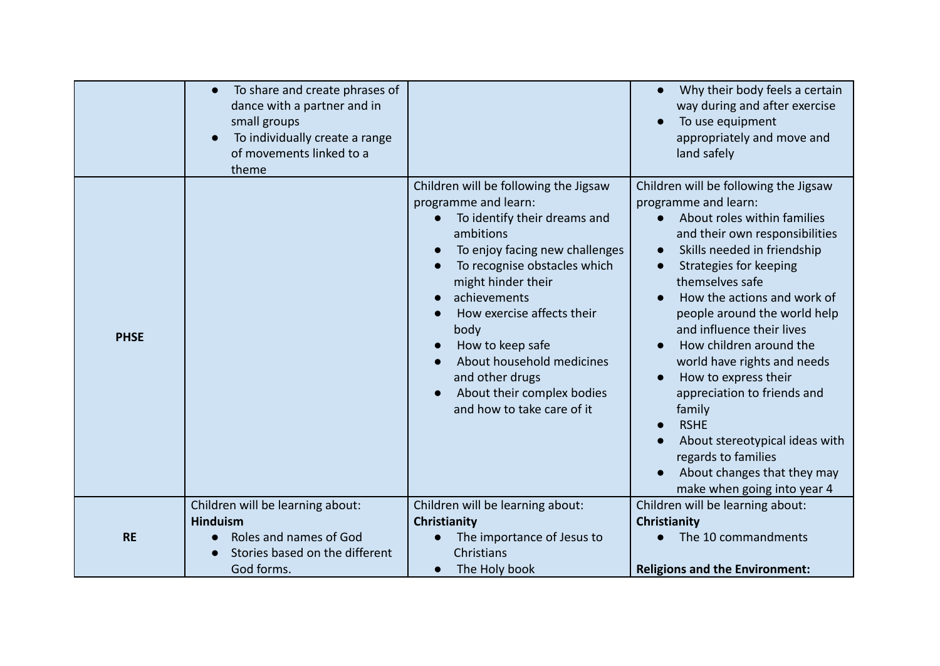|             | To share and create phrases of<br>$\bullet$<br>dance with a partner and in<br>small groups<br>To individually create a range<br>of movements linked to a<br>theme |                                                                                                                                                                                                                                                                                                                                                                                          | Why their body feels a certain<br>way during and after exercise<br>To use equipment<br>appropriately and move and<br>land safely                                                                                                                                                                                                                                                                                                                                                                                                                                        |
|-------------|-------------------------------------------------------------------------------------------------------------------------------------------------------------------|------------------------------------------------------------------------------------------------------------------------------------------------------------------------------------------------------------------------------------------------------------------------------------------------------------------------------------------------------------------------------------------|-------------------------------------------------------------------------------------------------------------------------------------------------------------------------------------------------------------------------------------------------------------------------------------------------------------------------------------------------------------------------------------------------------------------------------------------------------------------------------------------------------------------------------------------------------------------------|
| <b>PHSE</b> |                                                                                                                                                                   | Children will be following the Jigsaw<br>programme and learn:<br>To identify their dreams and<br>ambitions<br>To enjoy facing new challenges<br>To recognise obstacles which<br>might hinder their<br>achievements<br>How exercise affects their<br>body<br>How to keep safe<br>About household medicines<br>and other drugs<br>About their complex bodies<br>and how to take care of it | Children will be following the Jigsaw<br>programme and learn:<br>About roles within families<br>and their own responsibilities<br>Skills needed in friendship<br>Strategies for keeping<br>themselves safe<br>How the actions and work of<br>people around the world help<br>and influence their lives<br>How children around the<br>world have rights and needs<br>How to express their<br>appreciation to friends and<br>family<br><b>RSHE</b><br>About stereotypical ideas with<br>regards to families<br>About changes that they may<br>make when going into year 4 |
| <b>RE</b>   | Children will be learning about:<br><b>Hinduism</b><br>Roles and names of God<br>Stories based on the different<br>God forms.                                     | Children will be learning about:<br>Christianity<br>The importance of Jesus to<br>Christians<br>The Holy book<br>$\bullet$                                                                                                                                                                                                                                                               | Children will be learning about:<br>Christianity<br>The 10 commandments<br><b>Religions and the Environment:</b>                                                                                                                                                                                                                                                                                                                                                                                                                                                        |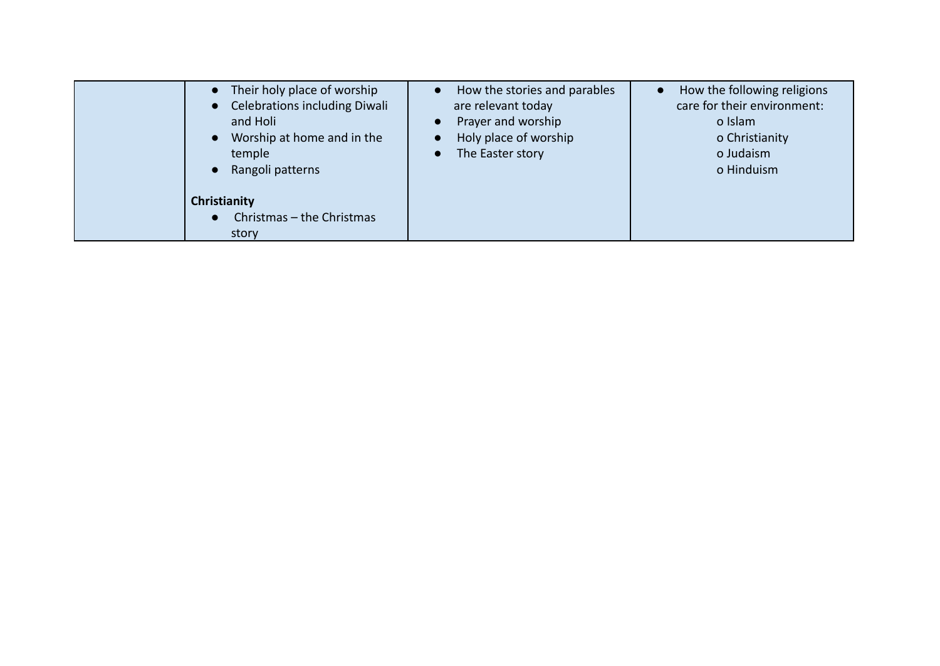| Their holy place of worship<br><b>Celebrations including Diwali</b><br>and Holi<br>Worship at home and in the<br>temple<br>Rangoli patterns | How the stories and parables<br>are relevant today<br>Prayer and worship<br>$\bullet$<br>Holy place of worship<br>The Easter story<br>$\bullet$ | How the following religions<br>care for their environment:<br>o Islam<br>o Christianity<br>o Judaism<br>o Hinduism |
|---------------------------------------------------------------------------------------------------------------------------------------------|-------------------------------------------------------------------------------------------------------------------------------------------------|--------------------------------------------------------------------------------------------------------------------|
| Christianity<br>Christmas - the Christmas<br>$\bullet$<br>story                                                                             |                                                                                                                                                 |                                                                                                                    |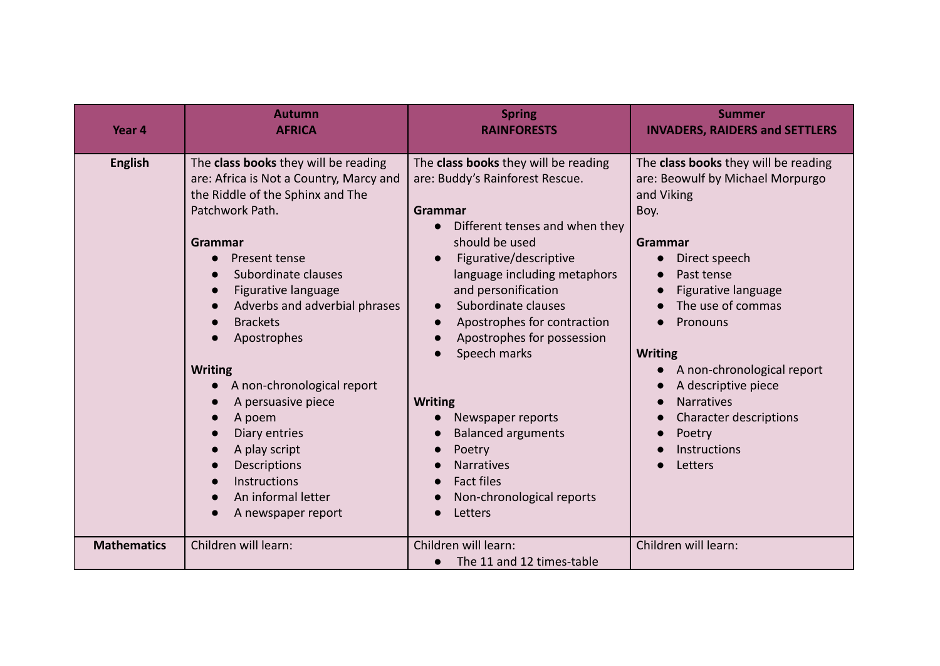| Year 4             | <b>Autumn</b><br><b>AFRICA</b>                                                                                                                                                                                                                                                                                                                                                                                                                                                                                                        | <b>Spring</b><br><b>RAINFORESTS</b>                                                                                                                                                                                                                                                                                                                                                                                                                                                                      | <b>Summer</b><br><b>INVADERS, RAIDERS and SETTLERS</b>                                                                                                                                                                                                                                                                                                             |
|--------------------|---------------------------------------------------------------------------------------------------------------------------------------------------------------------------------------------------------------------------------------------------------------------------------------------------------------------------------------------------------------------------------------------------------------------------------------------------------------------------------------------------------------------------------------|----------------------------------------------------------------------------------------------------------------------------------------------------------------------------------------------------------------------------------------------------------------------------------------------------------------------------------------------------------------------------------------------------------------------------------------------------------------------------------------------------------|--------------------------------------------------------------------------------------------------------------------------------------------------------------------------------------------------------------------------------------------------------------------------------------------------------------------------------------------------------------------|
| <b>English</b>     | The class books they will be reading<br>are: Africa is Not a Country, Marcy and<br>the Riddle of the Sphinx and The<br>Patchwork Path.<br>Grammar<br>Present tense<br>Subordinate clauses<br>Figurative language<br>$\bullet$<br>Adverbs and adverbial phrases<br><b>Brackets</b><br>Apostrophes<br><b>Writing</b><br>A non-chronological report<br>$\bullet$<br>A persuasive piece<br>A poem<br>$\bullet$<br>Diary entries<br>A play script<br>$\bullet$<br>Descriptions<br>Instructions<br>An informal letter<br>A newspaper report | The class books they will be reading<br>are: Buddy's Rainforest Rescue.<br>Grammar<br>Different tenses and when they<br>should be used<br>Figurative/descriptive<br>language including metaphors<br>and personification<br>Subordinate clauses<br>$\bullet$<br>Apostrophes for contraction<br>Apostrophes for possession<br>Speech marks<br><b>Writing</b><br>Newspaper reports<br><b>Balanced arguments</b><br>Poetry<br><b>Narratives</b><br><b>Fact files</b><br>Non-chronological reports<br>Letters | The class books they will be reading<br>are: Beowulf by Michael Morpurgo<br>and Viking<br>Boy.<br>Grammar<br>Direct speech<br>Past tense<br>Figurative language<br>The use of commas<br>Pronouns<br><b>Writing</b><br>A non-chronological report<br>A descriptive piece<br><b>Narratives</b><br>Character descriptions<br>Poetry<br><b>Instructions</b><br>Letters |
| <b>Mathematics</b> | Children will learn:                                                                                                                                                                                                                                                                                                                                                                                                                                                                                                                  | Children will learn:<br>The 11 and 12 times-table                                                                                                                                                                                                                                                                                                                                                                                                                                                        | Children will learn:                                                                                                                                                                                                                                                                                                                                               |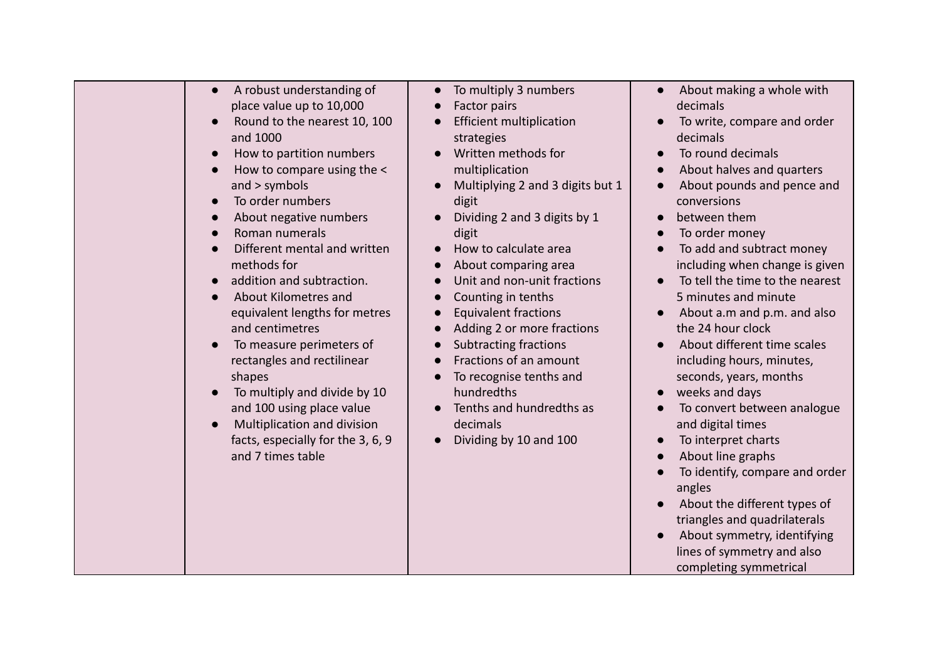| A robust understanding of<br>$\bullet$<br>place value up to 10,000<br>Round to the nearest 10, 100<br>and 1000<br>How to partition numbers<br>How to compare using the <<br>and > symbols<br>To order numbers<br>$\bullet$<br>About negative numbers<br>Roman numerals<br>Different mental and written<br>methods for<br>addition and subtraction.<br>About Kilometres and<br>equivalent lengths for metres<br>and centimetres<br>To measure perimeters of<br>rectangles and rectilinear<br>shapes<br>To multiply and divide by 10<br>and 100 using place value<br>Multiplication and division<br>facts, especially for the 3, 6, 9<br>and 7 times table | To multiply 3 numbers<br>Factor pairs<br><b>Efficient multiplication</b><br>strategies<br>Written methods for<br>multiplication<br>Multiplying 2 and 3 digits but 1<br>digit<br>Dividing 2 and 3 digits by 1<br>digit<br>How to calculate area<br>About comparing area<br>Unit and non-unit fractions<br>Counting in tenths<br><b>Equivalent fractions</b><br>Adding 2 or more fractions<br><b>Subtracting fractions</b><br>Fractions of an amount<br>To recognise tenths and<br>hundredths<br>Tenths and hundredths as<br>decimals<br>Dividing by 10 and 100 | About making a whole with<br>$\bullet$<br>decimals<br>To write, compare and order<br>decimals<br>To round decimals<br>About halves and quarters<br>About pounds and pence and<br>conversions<br>between them<br>To order money<br>To add and subtract money<br>including when change is given<br>To tell the time to the nearest<br>5 minutes and minute<br>About a.m and p.m. and also<br>$\bullet$<br>the 24 hour clock<br>About different time scales<br>including hours, minutes,<br>seconds, years, months<br>weeks and days<br>To convert between analogue<br>and digital times<br>To interpret charts<br>$\bullet$<br>About line graphs<br>To identify, compare and order<br>angles<br>About the different types of<br>triangles and quadrilaterals<br>About symmetry, identifying<br>lines of symmetry and also<br>completing symmetrical |
|----------------------------------------------------------------------------------------------------------------------------------------------------------------------------------------------------------------------------------------------------------------------------------------------------------------------------------------------------------------------------------------------------------------------------------------------------------------------------------------------------------------------------------------------------------------------------------------------------------------------------------------------------------|---------------------------------------------------------------------------------------------------------------------------------------------------------------------------------------------------------------------------------------------------------------------------------------------------------------------------------------------------------------------------------------------------------------------------------------------------------------------------------------------------------------------------------------------------------------|---------------------------------------------------------------------------------------------------------------------------------------------------------------------------------------------------------------------------------------------------------------------------------------------------------------------------------------------------------------------------------------------------------------------------------------------------------------------------------------------------------------------------------------------------------------------------------------------------------------------------------------------------------------------------------------------------------------------------------------------------------------------------------------------------------------------------------------------------|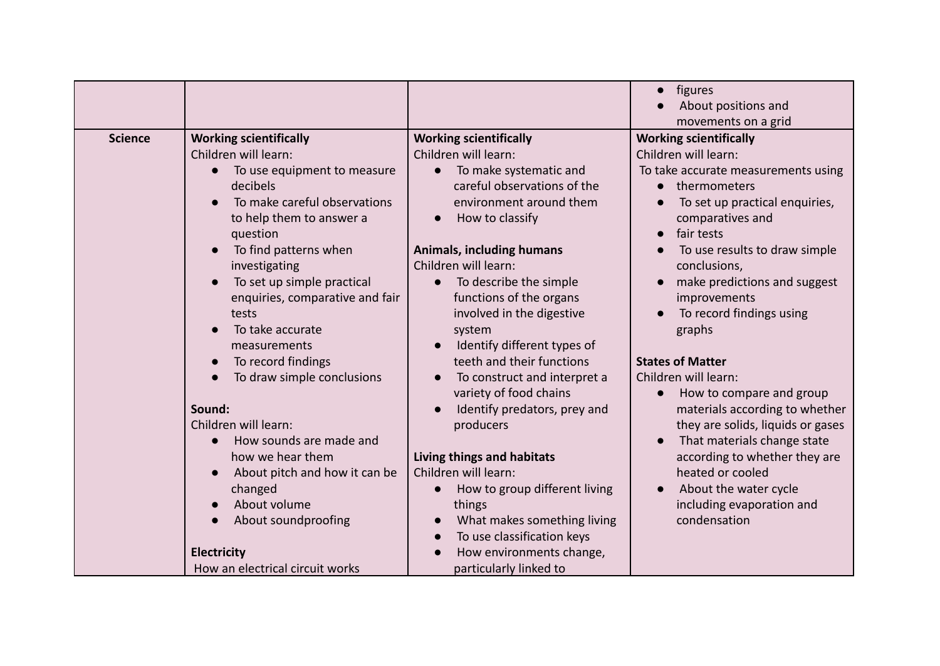|                |                                                                                                                                                                                                                                    |                                                                                                                                                                                                                                                                                         | · figures<br>About positions and                                                                                                                                                                                                                                                    |
|----------------|------------------------------------------------------------------------------------------------------------------------------------------------------------------------------------------------------------------------------------|-----------------------------------------------------------------------------------------------------------------------------------------------------------------------------------------------------------------------------------------------------------------------------------------|-------------------------------------------------------------------------------------------------------------------------------------------------------------------------------------------------------------------------------------------------------------------------------------|
| <b>Science</b> | <b>Working scientifically</b><br>Children will learn:<br>To use equipment to measure<br>$\bullet$<br>decibels<br>To make careful observations<br>to help them to answer a<br>question                                              | <b>Working scientifically</b><br>Children will learn:<br>To make systematic and<br>$\bullet$<br>careful observations of the<br>environment around them<br>How to classify<br>$\bullet$                                                                                                  | movements on a grid<br><b>Working scientifically</b><br>Children will learn:<br>To take accurate measurements using<br>thermometers<br>To set up practical enquiries,<br>comparatives and<br>fair tests                                                                             |
|                | To find patterns when<br>investigating<br>To set up simple practical<br>$\bullet$<br>enquiries, comparative and fair<br>tests<br>To take accurate<br>measurements<br>To record findings<br>$\bullet$<br>To draw simple conclusions | <b>Animals, including humans</b><br>Children will learn:<br>To describe the simple<br>$\bullet$<br>functions of the organs<br>involved in the digestive<br>system<br>Identify different types of<br>$\bullet$<br>teeth and their functions<br>To construct and interpret a              | To use results to draw simple<br>conclusions,<br>make predictions and suggest<br>improvements<br>To record findings using<br>graphs<br><b>States of Matter</b><br>Children will learn:                                                                                              |
|                | Sound:<br>Children will learn:<br>How sounds are made and<br>$\bullet$<br>how we hear them<br>About pitch and how it can be<br>$\bullet$<br>changed<br>About volume<br>About soundproofing<br><b>Electricity</b>                   | variety of food chains<br>Identify predators, prey and<br>producers<br>Living things and habitats<br>Children will learn:<br>How to group different living<br>things<br>What makes something living<br>$\bullet$<br>To use classification keys<br>$\bullet$<br>How environments change, | How to compare and group<br>$\bullet$<br>materials according to whether<br>they are solids, liquids or gases<br>That materials change state<br>according to whether they are<br>heated or cooled<br>About the water cycle<br>$\bullet$<br>including evaporation and<br>condensation |
|                | How an electrical circuit works                                                                                                                                                                                                    | particularly linked to                                                                                                                                                                                                                                                                  |                                                                                                                                                                                                                                                                                     |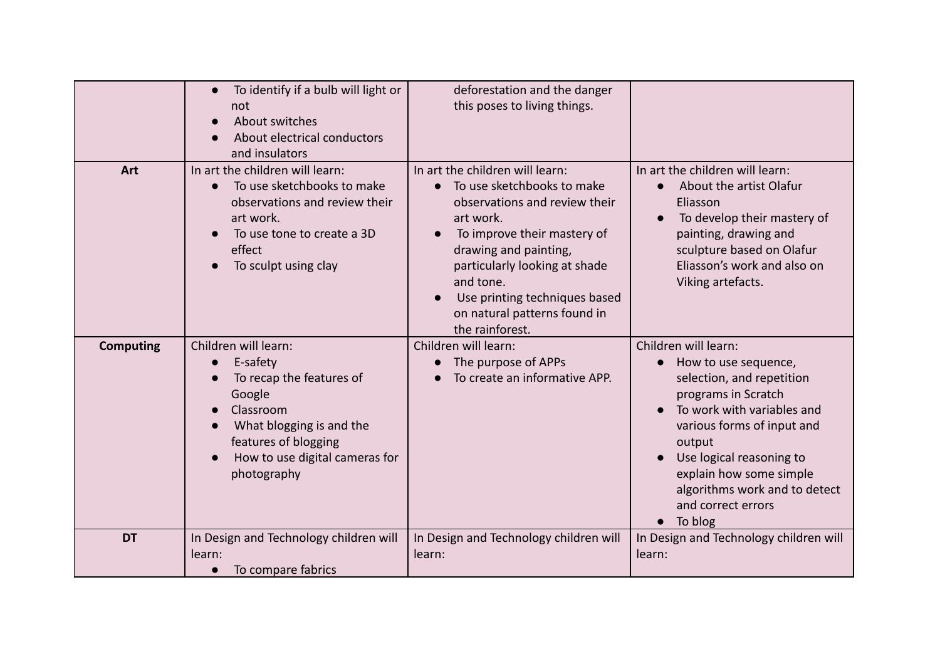|                  | To identify if a bulb will light or<br>$\bullet$<br>not<br>About switches<br>$\bullet$<br>About electrical conductors<br>and insulators                                                               | deforestation and the danger<br>this poses to living things.                                                                                                                                                                                                                                                       |                                                                                                                                                                                                                                                                                                                        |
|------------------|-------------------------------------------------------------------------------------------------------------------------------------------------------------------------------------------------------|--------------------------------------------------------------------------------------------------------------------------------------------------------------------------------------------------------------------------------------------------------------------------------------------------------------------|------------------------------------------------------------------------------------------------------------------------------------------------------------------------------------------------------------------------------------------------------------------------------------------------------------------------|
| Art              | In art the children will learn:<br>To use sketchbooks to make<br>$\bullet$<br>observations and review their<br>art work.<br>To use tone to create a 3D<br>effect<br>To sculpt using clay              | In art the children will learn:<br>To use sketchbooks to make<br>observations and review their<br>art work.<br>To improve their mastery of<br>$\bullet$<br>drawing and painting,<br>particularly looking at shade<br>and tone.<br>Use printing techniques based<br>on natural patterns found in<br>the rainforest. | In art the children will learn:<br>About the artist Olafur<br>Eliasson<br>To develop their mastery of<br>painting, drawing and<br>sculpture based on Olafur<br>Eliasson's work and also on<br>Viking artefacts.                                                                                                        |
| <b>Computing</b> | Children will learn:<br>E-safety<br>$\bullet$<br>To recap the features of<br>Google<br>Classroom<br>What blogging is and the<br>features of blogging<br>How to use digital cameras for<br>photography | Children will learn:<br>The purpose of APPs<br>To create an informative APP.                                                                                                                                                                                                                                       | Children will learn:<br>How to use sequence,<br>$\bullet$<br>selection, and repetition<br>programs in Scratch<br>To work with variables and<br>various forms of input and<br>output<br>Use logical reasoning to<br>explain how some simple<br>algorithms work and to detect<br>and correct errors<br>$\bullet$ To blog |
| <b>DT</b>        | In Design and Technology children will<br>learn:<br>To compare fabrics<br>$\bullet$                                                                                                                   | In Design and Technology children will<br>learn:                                                                                                                                                                                                                                                                   | In Design and Technology children will<br>learn:                                                                                                                                                                                                                                                                       |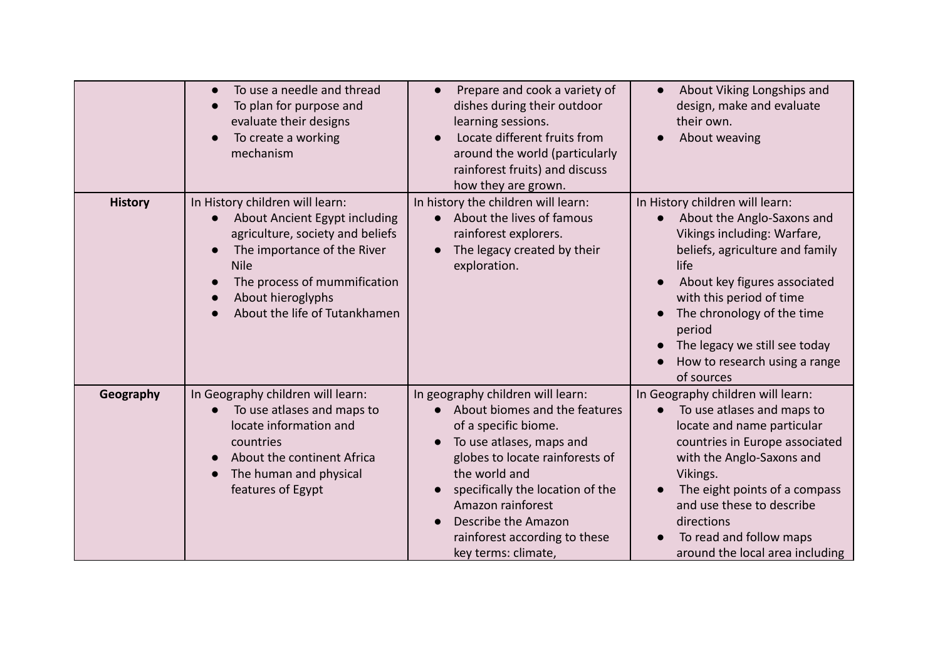|                | To use a needle and thread<br>$\bullet$<br>To plan for purpose and<br>$\bullet$<br>evaluate their designs<br>To create a working<br>mechanism                                                                                                                      | Prepare and cook a variety of<br>$\bullet$<br>dishes during their outdoor<br>learning sessions.<br>Locate different fruits from<br>around the world (particularly<br>rainforest fruits) and discuss<br>how they are grown.                                                                                         | About Viking Longships and<br>design, make and evaluate<br>their own.<br>About weaving                                                                                                                                                                                                                                                   |
|----------------|--------------------------------------------------------------------------------------------------------------------------------------------------------------------------------------------------------------------------------------------------------------------|--------------------------------------------------------------------------------------------------------------------------------------------------------------------------------------------------------------------------------------------------------------------------------------------------------------------|------------------------------------------------------------------------------------------------------------------------------------------------------------------------------------------------------------------------------------------------------------------------------------------------------------------------------------------|
| <b>History</b> | In History children will learn:<br>About Ancient Egypt including<br>agriculture, society and beliefs<br>The importance of the River<br><b>Nile</b><br>The process of mummification<br>$\bullet$<br>About hieroglyphs<br>$\bullet$<br>About the life of Tutankhamen | In history the children will learn:<br>• About the lives of famous<br>rainforest explorers.<br>The legacy created by their<br>$\bullet$<br>exploration.                                                                                                                                                            | In History children will learn:<br>About the Anglo-Saxons and<br>$\bullet$<br>Vikings including: Warfare,<br>beliefs, agriculture and family<br>life<br>About key figures associated<br>with this period of time<br>The chronology of the time<br>period<br>The legacy we still see today<br>How to research using a range<br>of sources |
| Geography      | In Geography children will learn:<br>To use atlases and maps to<br>$\bullet$<br>locate information and<br>countries<br>About the continent Africa<br>The human and physical<br>features of Egypt                                                                   | In geography children will learn:<br>About biomes and the features<br>of a specific biome.<br>To use atlases, maps and<br>globes to locate rainforests of<br>the world and<br>specifically the location of the<br>Amazon rainforest<br>Describe the Amazon<br>rainforest according to these<br>key terms: climate, | In Geography children will learn:<br>To use atlases and maps to<br>$\bullet$<br>locate and name particular<br>countries in Europe associated<br>with the Anglo-Saxons and<br>Vikings.<br>The eight points of a compass<br>and use these to describe<br>directions<br>To read and follow maps<br>around the local area including          |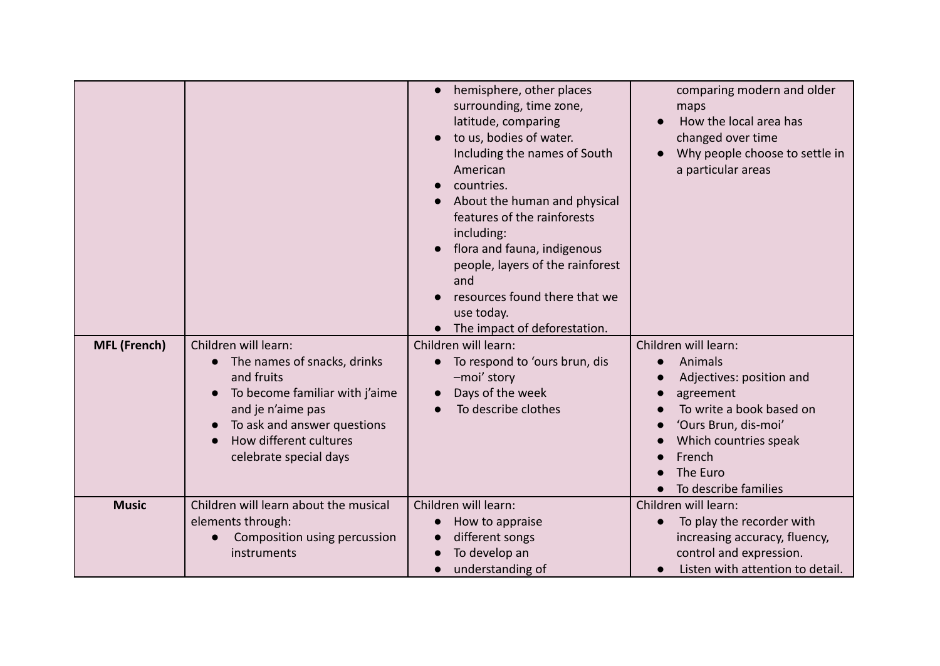|                     |                                                                                                                                                                                                             | hemisphere, other places<br>surrounding, time zone,<br>latitude, comparing<br>to us, bodies of water.<br>Including the names of South<br>American<br>countries.<br>About the human and physical<br>features of the rainforests<br>including:<br>flora and fauna, indigenous<br>people, layers of the rainforest<br>and<br>resources found there that we<br>use today.<br>The impact of deforestation. | comparing modern and older<br>maps<br>How the local area has<br>changed over time<br>Why people choose to settle in<br>a particular areas                                                           |
|---------------------|-------------------------------------------------------------------------------------------------------------------------------------------------------------------------------------------------------------|-------------------------------------------------------------------------------------------------------------------------------------------------------------------------------------------------------------------------------------------------------------------------------------------------------------------------------------------------------------------------------------------------------|-----------------------------------------------------------------------------------------------------------------------------------------------------------------------------------------------------|
| <b>MFL (French)</b> | Children will learn:<br>The names of snacks, drinks<br>and fruits<br>To become familiar with j'aime<br>and je n'aime pas<br>To ask and answer questions<br>How different cultures<br>celebrate special days | Children will learn:<br>To respond to 'ours brun, dis<br>-moi' story<br>Days of the week<br>To describe clothes                                                                                                                                                                                                                                                                                       | Children will learn:<br>Animals<br>Adjectives: position and<br>agreement<br>To write a book based on<br>'Ours Brun, dis-moi'<br>Which countries speak<br>French<br>The Euro<br>To describe families |
| <b>Music</b>        | Children will learn about the musical<br>elements through:<br>Composition using percussion<br>instruments                                                                                                   | Children will learn:<br>How to appraise<br>different songs<br>To develop an<br>understanding of                                                                                                                                                                                                                                                                                                       | Children will learn:<br>To play the recorder with<br>increasing accuracy, fluency,<br>control and expression.<br>Listen with attention to detail.                                                   |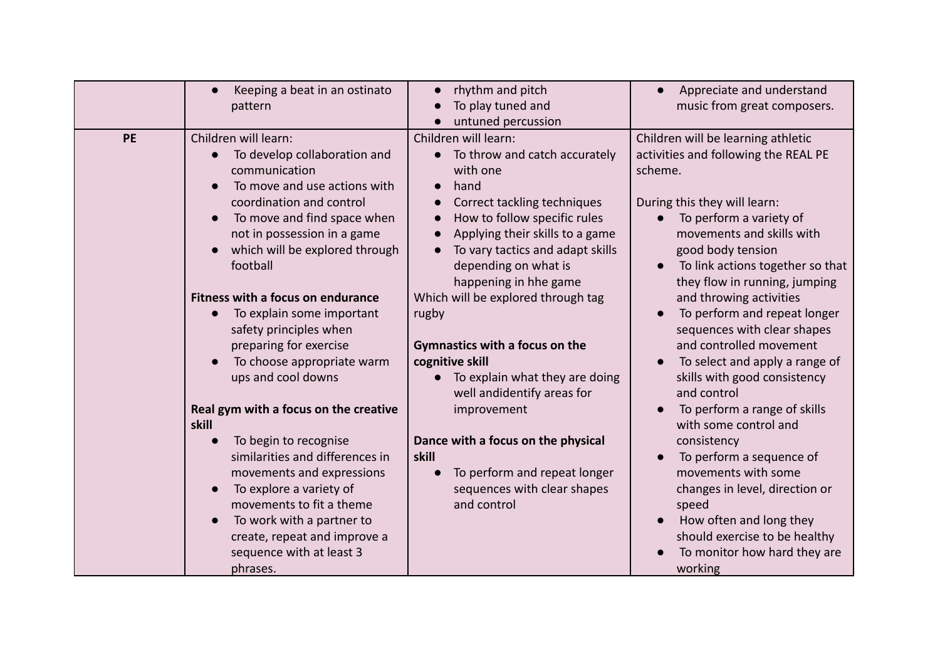|    | Keeping a beat in an ostinato<br>$\bullet$<br>pattern                                                                                                                                                                                                                                                                                                                                                                                                                                      | rhythm and pitch<br>$\bullet$<br>To play tuned and<br>untuned percussion                                                                                                                                                                                                                                                                                                                                                                              | Appreciate and understand<br>music from great composers.                                                                                                                                                                                                                                                                                                                                                                                                                                                      |
|----|--------------------------------------------------------------------------------------------------------------------------------------------------------------------------------------------------------------------------------------------------------------------------------------------------------------------------------------------------------------------------------------------------------------------------------------------------------------------------------------------|-------------------------------------------------------------------------------------------------------------------------------------------------------------------------------------------------------------------------------------------------------------------------------------------------------------------------------------------------------------------------------------------------------------------------------------------------------|---------------------------------------------------------------------------------------------------------------------------------------------------------------------------------------------------------------------------------------------------------------------------------------------------------------------------------------------------------------------------------------------------------------------------------------------------------------------------------------------------------------|
| PE | Children will learn:<br>To develop collaboration and<br>$\bullet$<br>communication<br>To move and use actions with<br>coordination and control<br>To move and find space when<br>not in possession in a game<br>which will be explored through<br>football<br>Fitness with a focus on endurance<br>To explain some important<br>$\bullet$<br>safety principles when<br>preparing for exercise<br>To choose appropriate warm<br>ups and cool downs<br>Real gym with a focus on the creative | Children will learn:<br>• To throw and catch accurately<br>with one<br>hand<br>Correct tackling techniques<br>How to follow specific rules<br>Applying their skills to a game<br>To vary tactics and adapt skills<br>depending on what is<br>happening in hhe game<br>Which will be explored through tag<br>rugby<br>Gymnastics with a focus on the<br>cognitive skill<br>To explain what they are doing<br>well andidentify areas for<br>improvement | Children will be learning athletic<br>activities and following the REAL PE<br>scheme.<br>During this they will learn:<br>To perform a variety of<br>movements and skills with<br>good body tension<br>To link actions together so that<br>they flow in running, jumping<br>and throwing activities<br>To perform and repeat longer<br>sequences with clear shapes<br>and controlled movement<br>To select and apply a range of<br>skills with good consistency<br>and control<br>To perform a range of skills |
|    | skill<br>To begin to recognise<br>$\bullet$<br>similarities and differences in<br>movements and expressions<br>To explore a variety of<br>movements to fit a theme<br>To work with a partner to<br>$\bullet$<br>create, repeat and improve a<br>sequence with at least 3<br>phrases.                                                                                                                                                                                                       | Dance with a focus on the physical<br>skill<br>To perform and repeat longer<br>sequences with clear shapes<br>and control                                                                                                                                                                                                                                                                                                                             | with some control and<br>consistency<br>To perform a sequence of<br>movements with some<br>changes in level, direction or<br>speed<br>How often and long they<br>should exercise to be healthy<br>To monitor how hard they are<br>working                                                                                                                                                                                                                                                                     |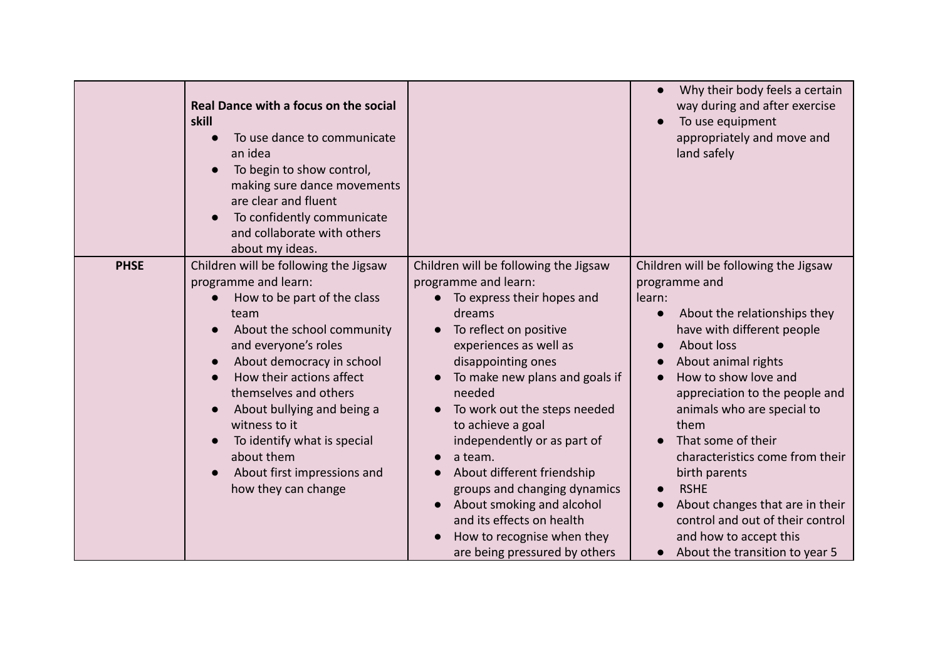|             | Real Dance with a focus on the social<br>skill<br>To use dance to communicate<br>an idea<br>To begin to show control,<br>making sure dance movements<br>are clear and fluent<br>To confidently communicate<br>and collaborate with others<br>about my ideas.                                                                                                                                   |                                                                                                                                                                                                                                                                                                                                                                                                                                                                                                                                | Why their body feels a certain<br>way during and after exercise<br>To use equipment<br>appropriately and move and<br>land safely                                                                                                                                                                                                                                                                                                                                                                       |
|-------------|------------------------------------------------------------------------------------------------------------------------------------------------------------------------------------------------------------------------------------------------------------------------------------------------------------------------------------------------------------------------------------------------|--------------------------------------------------------------------------------------------------------------------------------------------------------------------------------------------------------------------------------------------------------------------------------------------------------------------------------------------------------------------------------------------------------------------------------------------------------------------------------------------------------------------------------|--------------------------------------------------------------------------------------------------------------------------------------------------------------------------------------------------------------------------------------------------------------------------------------------------------------------------------------------------------------------------------------------------------------------------------------------------------------------------------------------------------|
| <b>PHSE</b> | Children will be following the Jigsaw<br>programme and learn:<br>How to be part of the class<br>team<br>About the school community<br>and everyone's roles<br>About democracy in school<br>How their actions affect<br>themselves and others<br>About bullying and being a<br>witness to it<br>To identify what is special<br>about them<br>About first impressions and<br>how they can change | Children will be following the Jigsaw<br>programme and learn:<br>To express their hopes and<br>dreams<br>To reflect on positive<br>experiences as well as<br>disappointing ones<br>To make new plans and goals if<br>needed<br>To work out the steps needed<br>to achieve a goal<br>independently or as part of<br>a team.<br>$\bullet$<br>About different friendship<br>groups and changing dynamics<br>About smoking and alcohol<br>and its effects on health<br>How to recognise when they<br>are being pressured by others | Children will be following the Jigsaw<br>programme and<br>learn:<br>About the relationships they<br>have with different people<br><b>About loss</b><br>About animal rights<br>How to show love and<br>appreciation to the people and<br>animals who are special to<br>them<br>That some of their<br>characteristics come from their<br>birth parents<br><b>RSHE</b><br>About changes that are in their<br>control and out of their control<br>and how to accept this<br>About the transition to year 5 |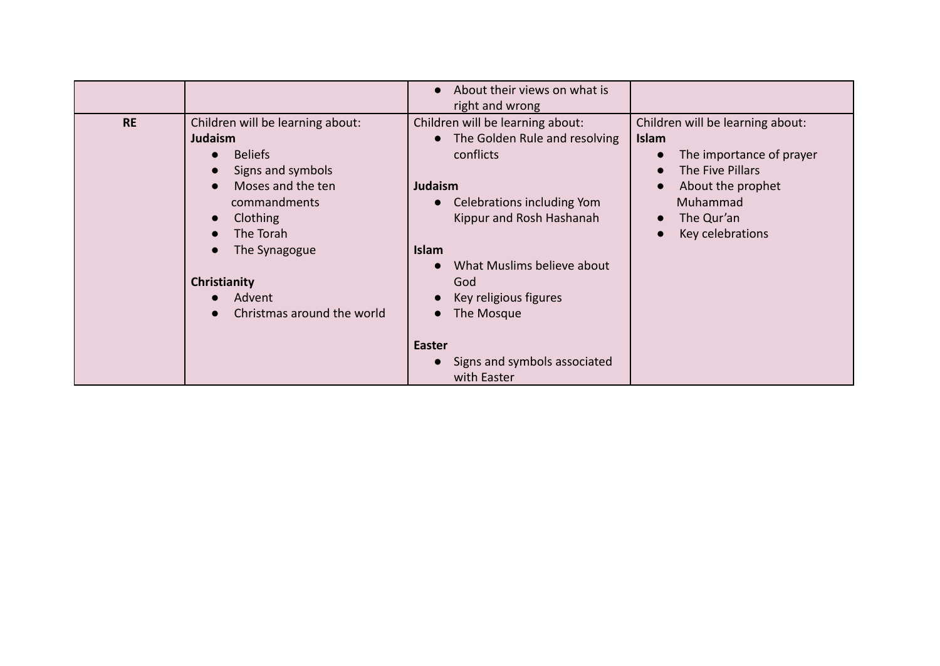|           |                                                                                                                                                                                                                                                                                                                                          | About their views on what is<br>$\bullet$<br>right and wrong                                                                                                                                                                                                                                                             |                                                                                                                                                                     |
|-----------|------------------------------------------------------------------------------------------------------------------------------------------------------------------------------------------------------------------------------------------------------------------------------------------------------------------------------------------|--------------------------------------------------------------------------------------------------------------------------------------------------------------------------------------------------------------------------------------------------------------------------------------------------------------------------|---------------------------------------------------------------------------------------------------------------------------------------------------------------------|
| <b>RE</b> | Children will be learning about:<br><b>Judaism</b><br><b>Beliefs</b><br>$\bullet$<br>Signs and symbols<br>$\bullet$<br>Moses and the ten<br>$\bullet$<br>commandments<br>Clothing<br>$\bullet$<br>The Torah<br>$\bullet$<br>The Synagogue<br>$\bullet$<br>Christianity<br>Advent<br>$\bullet$<br>Christmas around the world<br>$\bullet$ | Children will be learning about:<br>• The Golden Rule and resolving<br>conflicts<br><b>Judaism</b><br>Celebrations including Yom<br>Kippur and Rosh Hashanah<br><b>Islam</b><br>What Muslims believe about<br>God<br>Key religious figures<br>The Mosque<br><b>Easter</b><br>Signs and symbols associated<br>with Easter | Children will be learning about:<br><b>Islam</b><br>The importance of prayer<br>The Five Pillars<br>About the prophet<br>Muhammad<br>The Qur'an<br>Key celebrations |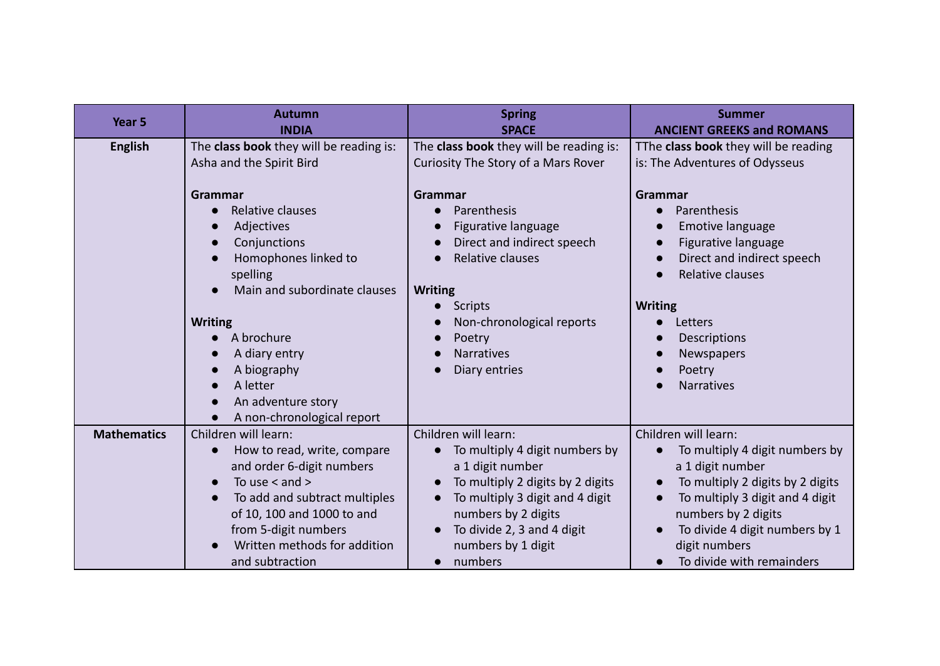| Year <sub>5</sub>  | <b>Autumn</b><br><b>INDIA</b>                                                                                                                                                                                                                                              | <b>Spring</b><br><b>SPACE</b>                                                                                                                                                                                                                                | <b>Summer</b><br><b>ANCIENT GREEKS and ROMANS</b>                                                                                                                                                                                                        |
|--------------------|----------------------------------------------------------------------------------------------------------------------------------------------------------------------------------------------------------------------------------------------------------------------------|--------------------------------------------------------------------------------------------------------------------------------------------------------------------------------------------------------------------------------------------------------------|----------------------------------------------------------------------------------------------------------------------------------------------------------------------------------------------------------------------------------------------------------|
| <b>English</b>     | The class book they will be reading is:<br>Asha and the Spirit Bird<br><b>Grammar</b><br>Relative clauses<br>Adjectives<br>Conjunctions<br>$\bullet$<br>Homophones linked to<br>spelling<br>Main and subordinate clauses<br><b>Writing</b><br>A brochure                   | The class book they will be reading is:<br>Curiosity The Story of a Mars Rover<br>Grammar<br>Parenthesis<br>Figurative language<br>Direct and indirect speech<br>Relative clauses<br><b>Writing</b><br><b>Scripts</b><br>Non-chronological reports<br>Poetry | TThe class book they will be reading<br>is: The Adventures of Odysseus<br>Grammar<br>Parenthesis<br>$\bullet$<br>Emotive language<br>Figurative language<br>Direct and indirect speech<br>Relative clauses<br><b>Writing</b><br>Letters<br>Descriptions  |
|                    | A diary entry<br>A biography<br>A letter<br>$\bullet$<br>An adventure story<br>$\bullet$<br>A non-chronological report<br>$\bullet$                                                                                                                                        | <b>Narratives</b><br>Diary entries                                                                                                                                                                                                                           | Newspapers<br>Poetry<br><b>Narratives</b>                                                                                                                                                                                                                |
| <b>Mathematics</b> | Children will learn:<br>How to read, write, compare<br>$\bullet$<br>and order 6-digit numbers<br>To use $<$ and $>$<br>$\bullet$<br>To add and subtract multiples<br>of 10, 100 and 1000 to and<br>from 5-digit numbers<br>Written methods for addition<br>and subtraction | Children will learn:<br>To multiply 4 digit numbers by<br>a 1 digit number<br>To multiply 2 digits by 2 digits<br>To multiply 3 digit and 4 digit<br>numbers by 2 digits<br>To divide 2, 3 and 4 digit<br>numbers by 1 digit<br>numbers<br>$\bullet$         | Children will learn:<br>To multiply 4 digit numbers by<br>a 1 digit number<br>To multiply 2 digits by 2 digits<br>To multiply 3 digit and 4 digit<br>numbers by 2 digits<br>To divide 4 digit numbers by 1<br>digit numbers<br>To divide with remainders |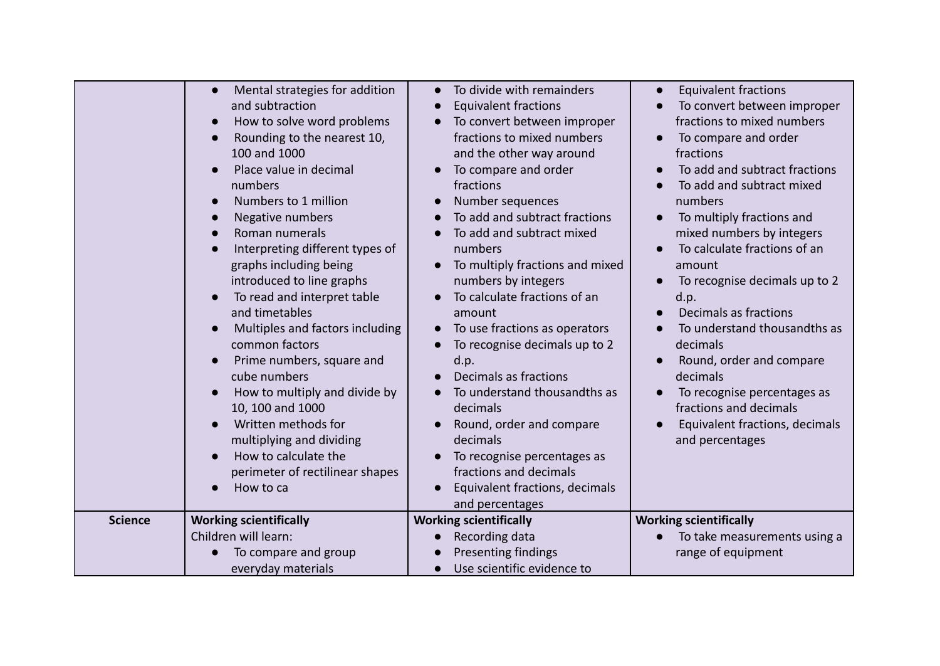| <b>Science</b> | <b>Working scientifically</b><br>Children will learn:<br>To compare and group<br>everyday materials                                                                                                                                                                                                                                                                                                                                                                                                                                                                                                                                                            | and percentages<br><b>Working scientifically</b><br>Recording data<br>Presenting findings<br>Use scientific evidence to<br>$\bullet$                                                                                                                                                                                                                                                                                                                                                                                                                                                                                                                                                                             | <b>Working scientifically</b><br>To take measurements using a<br>range of equipment                                                                                                                                                                                                                                                                                                                                                                                                                                                                                                         |
|----------------|----------------------------------------------------------------------------------------------------------------------------------------------------------------------------------------------------------------------------------------------------------------------------------------------------------------------------------------------------------------------------------------------------------------------------------------------------------------------------------------------------------------------------------------------------------------------------------------------------------------------------------------------------------------|------------------------------------------------------------------------------------------------------------------------------------------------------------------------------------------------------------------------------------------------------------------------------------------------------------------------------------------------------------------------------------------------------------------------------------------------------------------------------------------------------------------------------------------------------------------------------------------------------------------------------------------------------------------------------------------------------------------|---------------------------------------------------------------------------------------------------------------------------------------------------------------------------------------------------------------------------------------------------------------------------------------------------------------------------------------------------------------------------------------------------------------------------------------------------------------------------------------------------------------------------------------------------------------------------------------------|
|                | Mental strategies for addition<br>and subtraction<br>How to solve word problems<br>Rounding to the nearest 10,<br>100 and 1000<br>Place value in decimal<br>numbers<br>Numbers to 1 million<br>Negative numbers<br>Roman numerals<br>Interpreting different types of<br>graphs including being<br>introduced to line graphs<br>To read and interpret table<br>and timetables<br>Multiples and factors including<br>common factors<br>Prime numbers, square and<br>cube numbers<br>How to multiply and divide by<br>10, 100 and 1000<br>Written methods for<br>multiplying and dividing<br>How to calculate the<br>perimeter of rectilinear shapes<br>How to ca | To divide with remainders<br>$\bullet$<br><b>Equivalent fractions</b><br>$\bullet$<br>To convert between improper<br>fractions to mixed numbers<br>and the other way around<br>To compare and order<br>fractions<br>Number sequences<br>To add and subtract fractions<br>To add and subtract mixed<br>numbers<br>To multiply fractions and mixed<br>numbers by integers<br>To calculate fractions of an<br>amount<br>To use fractions as operators<br>To recognise decimals up to 2<br>d.p.<br>Decimals as fractions<br>To understand thousandths as<br>decimals<br>Round, order and compare<br>decimals<br>To recognise percentages as<br>fractions and decimals<br>Equivalent fractions, decimals<br>$\bullet$ | <b>Equivalent fractions</b><br>$\bullet$<br>To convert between improper<br>fractions to mixed numbers<br>To compare and order<br>fractions<br>To add and subtract fractions<br>To add and subtract mixed<br>numbers<br>To multiply fractions and<br>mixed numbers by integers<br>To calculate fractions of an<br>amount<br>To recognise decimals up to 2<br>d.p.<br>Decimals as fractions<br>To understand thousandths as<br>decimals<br>Round, order and compare<br>decimals<br>To recognise percentages as<br>fractions and decimals<br>Equivalent fractions, decimals<br>and percentages |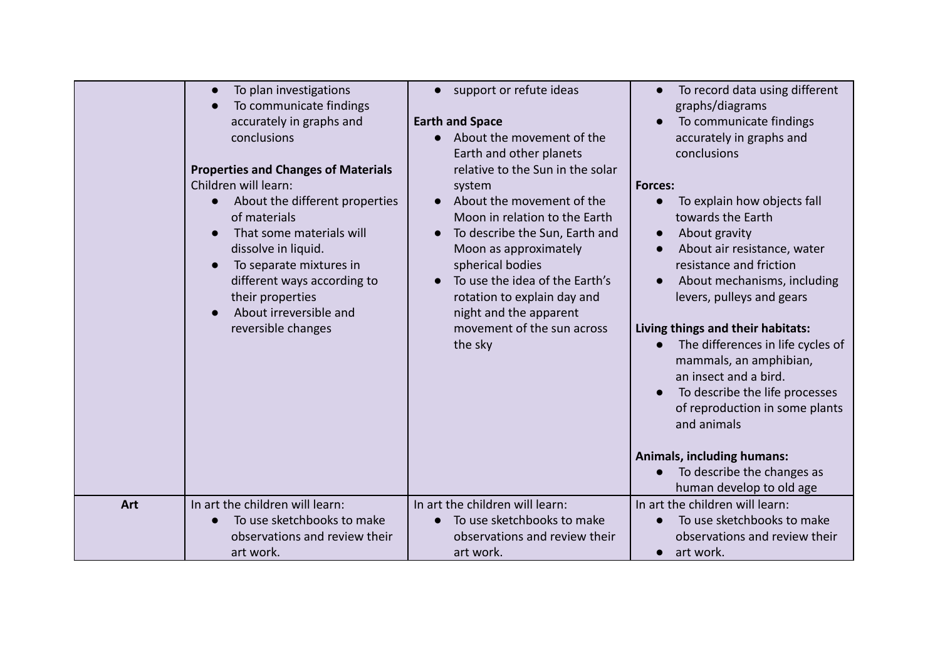|     | To plan investigations<br>To communicate findings<br>accurately in graphs and<br>conclusions<br><b>Properties and Changes of Materials</b><br>Children will learn:<br>About the different properties<br>of materials<br>That some materials will<br>dissolve in liquid.<br>To separate mixtures in<br>different ways according to<br>their properties<br>About irreversible and<br>reversible changes | support or refute ideas<br>$\bullet$<br><b>Earth and Space</b><br>About the movement of the<br>$\bullet$<br>Earth and other planets<br>relative to the Sun in the solar<br>system<br>About the movement of the<br>Moon in relation to the Earth<br>To describe the Sun, Earth and<br>Moon as approximately<br>spherical bodies<br>To use the idea of the Earth's<br>$\bullet$<br>rotation to explain day and<br>night and the apparent<br>movement of the sun across<br>the sky | To record data using different<br>graphs/diagrams<br>To communicate findings<br>accurately in graphs and<br>conclusions<br><b>Forces:</b><br>To explain how objects fall<br>towards the Earth<br>About gravity<br>$\bullet$<br>About air resistance, water<br>resistance and friction<br>About mechanisms, including<br>levers, pulleys and gears<br>Living things and their habitats:<br>The differences in life cycles of<br>mammals, an amphibian,<br>an insect and a bird.<br>To describe the life processes<br>of reproduction in some plants<br>and animals<br><b>Animals, including humans:</b><br>To describe the changes as<br>human develop to old age |
|-----|-------------------------------------------------------------------------------------------------------------------------------------------------------------------------------------------------------------------------------------------------------------------------------------------------------------------------------------------------------------------------------------------------------|---------------------------------------------------------------------------------------------------------------------------------------------------------------------------------------------------------------------------------------------------------------------------------------------------------------------------------------------------------------------------------------------------------------------------------------------------------------------------------|------------------------------------------------------------------------------------------------------------------------------------------------------------------------------------------------------------------------------------------------------------------------------------------------------------------------------------------------------------------------------------------------------------------------------------------------------------------------------------------------------------------------------------------------------------------------------------------------------------------------------------------------------------------|
| Art | In art the children will learn:                                                                                                                                                                                                                                                                                                                                                                       | In art the children will learn:                                                                                                                                                                                                                                                                                                                                                                                                                                                 | In art the children will learn:                                                                                                                                                                                                                                                                                                                                                                                                                                                                                                                                                                                                                                  |
|     | To use sketchbooks to make                                                                                                                                                                                                                                                                                                                                                                            | To use sketchbooks to make<br>$\bullet$                                                                                                                                                                                                                                                                                                                                                                                                                                         | To use sketchbooks to make                                                                                                                                                                                                                                                                                                                                                                                                                                                                                                                                                                                                                                       |
|     | observations and review their                                                                                                                                                                                                                                                                                                                                                                         | observations and review their                                                                                                                                                                                                                                                                                                                                                                                                                                                   | observations and review their                                                                                                                                                                                                                                                                                                                                                                                                                                                                                                                                                                                                                                    |
|     | art work.                                                                                                                                                                                                                                                                                                                                                                                             | art work.                                                                                                                                                                                                                                                                                                                                                                                                                                                                       | art work.<br>$\bullet$                                                                                                                                                                                                                                                                                                                                                                                                                                                                                                                                                                                                                                           |
|     |                                                                                                                                                                                                                                                                                                                                                                                                       |                                                                                                                                                                                                                                                                                                                                                                                                                                                                                 |                                                                                                                                                                                                                                                                                                                                                                                                                                                                                                                                                                                                                                                                  |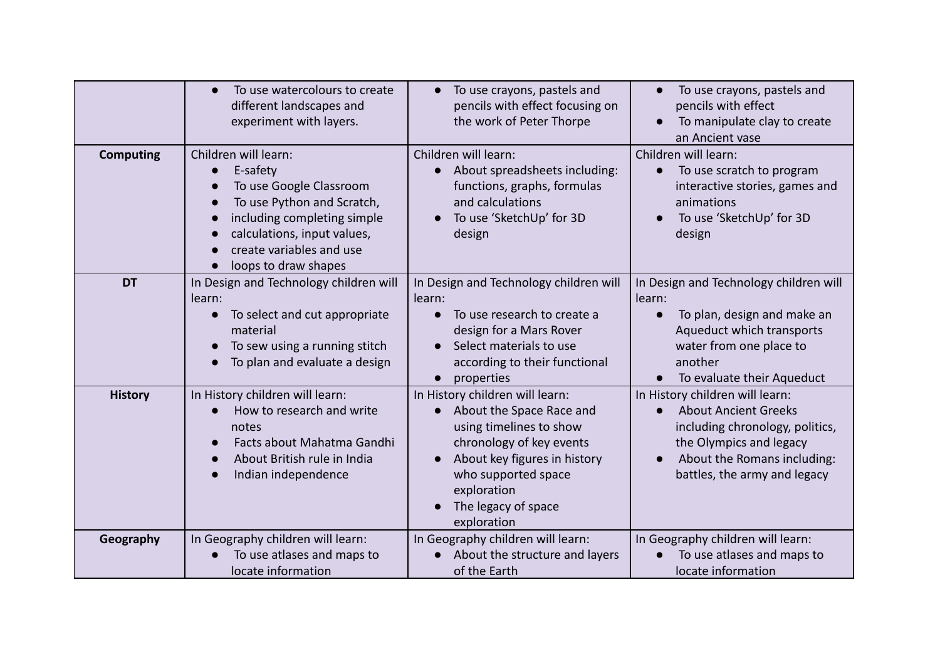|                  | To use watercolours to create<br>$\bullet$<br>different landscapes and<br>experiment with layers.                                                                                                                                                               | To use crayons, pastels and<br>$\bullet$<br>pencils with effect focusing on<br>the work of Peter Thorpe                                                                                                                                     | To use crayons, pastels and<br>pencils with effect<br>To manipulate clay to create<br>an Ancient vase                                                                                                      |
|------------------|-----------------------------------------------------------------------------------------------------------------------------------------------------------------------------------------------------------------------------------------------------------------|---------------------------------------------------------------------------------------------------------------------------------------------------------------------------------------------------------------------------------------------|------------------------------------------------------------------------------------------------------------------------------------------------------------------------------------------------------------|
| <b>Computing</b> | Children will learn:<br>E-safety<br>$\bullet$<br>To use Google Classroom<br>$\bullet$<br>To use Python and Scratch,<br>$\bullet$<br>including completing simple<br>$\bullet$<br>calculations, input values,<br>create variables and use<br>loops to draw shapes | Children will learn:<br>About spreadsheets including:<br>$\bullet$<br>functions, graphs, formulas<br>and calculations<br>To use 'SketchUp' for 3D<br>design                                                                                 | Children will learn:<br>To use scratch to program<br>$\bullet$<br>interactive stories, games and<br>animations<br>To use 'SketchUp' for 3D<br>design                                                       |
| <b>DT</b>        | In Design and Technology children will<br>learn:<br>To select and cut appropriate<br>$\bullet$<br>material<br>To sew using a running stitch<br>To plan and evaluate a design                                                                                    | In Design and Technology children will<br>learn:<br>To use research to create a<br>design for a Mars Rover<br>Select materials to use<br>according to their functional<br>properties<br>$\bullet$                                           | In Design and Technology children will<br>learn:<br>To plan, design and make an<br>$\bullet$<br>Aqueduct which transports<br>water from one place to<br>another<br>To evaluate their Aqueduct<br>$\bullet$ |
| <b>History</b>   | In History children will learn:<br>How to research and write<br>$\bullet$<br>notes<br>Facts about Mahatma Gandhi<br>About British rule in India<br>Indian independence                                                                                          | In History children will learn:<br>About the Space Race and<br>$\bullet$<br>using timelines to show<br>chronology of key events<br>About key figures in history<br>who supported space<br>exploration<br>The legacy of space<br>exploration | In History children will learn:<br><b>About Ancient Greeks</b><br>$\bullet$<br>including chronology, politics,<br>the Olympics and legacy<br>About the Romans including:<br>battles, the army and legacy   |
| Geography        | In Geography children will learn:<br>To use atlases and maps to<br>locate information                                                                                                                                                                           | In Geography children will learn:<br>About the structure and layers<br>of the Earth                                                                                                                                                         | In Geography children will learn:<br>To use atlases and maps to<br>locate information                                                                                                                      |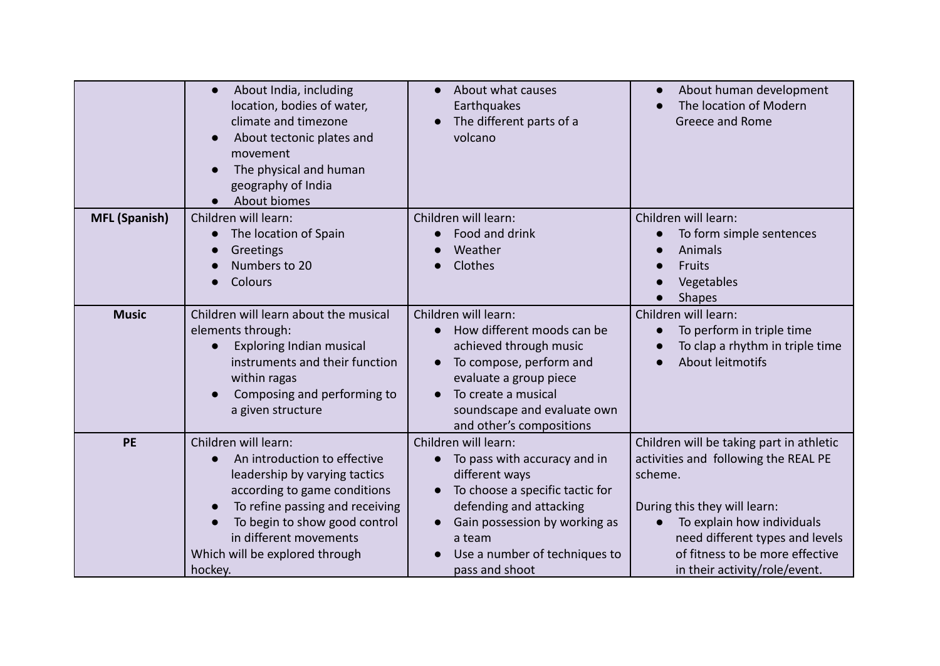|                      | About India, including<br>$\bullet$<br>location, bodies of water,<br>climate and timezone<br>About tectonic plates and<br>movement<br>The physical and human<br>geography of India<br>About biomes                                                               | About what causes<br>Earthquakes<br>The different parts of a<br>volcano                                                                                                                                                                                                   | About human development<br>The location of Modern<br>Greece and Rome                                                                                                                                                                                                          |
|----------------------|------------------------------------------------------------------------------------------------------------------------------------------------------------------------------------------------------------------------------------------------------------------|---------------------------------------------------------------------------------------------------------------------------------------------------------------------------------------------------------------------------------------------------------------------------|-------------------------------------------------------------------------------------------------------------------------------------------------------------------------------------------------------------------------------------------------------------------------------|
| <b>MFL (Spanish)</b> | Children will learn:<br>The location of Spain<br>Greetings<br>Numbers to 20<br>Colours                                                                                                                                                                           | Children will learn:<br>Food and drink<br>Weather<br>Clothes                                                                                                                                                                                                              | Children will learn:<br>To form simple sentences<br>Animals<br>Fruits<br>Vegetables<br><b>Shapes</b>                                                                                                                                                                          |
| <b>Music</b>         | Children will learn about the musical<br>elements through:<br><b>Exploring Indian musical</b><br>instruments and their function<br>within ragas<br>Composing and performing to<br>a given structure                                                              | Children will learn:<br>How different moods can be<br>achieved through music<br>To compose, perform and<br>evaluate a group piece<br>To create a musical<br>soundscape and evaluate own<br>and other's compositions                                                       | Children will learn:<br>To perform in triple time<br>To clap a rhythm in triple time<br>About leitmotifs                                                                                                                                                                      |
| <b>PE</b>            | Children will learn:<br>An introduction to effective<br>leadership by varying tactics<br>according to game conditions<br>To refine passing and receiving<br>To begin to show good control<br>in different movements<br>Which will be explored through<br>hockey. | Children will learn:<br>To pass with accuracy and in<br>$\bullet$<br>different ways<br>To choose a specific tactic for<br>$\bullet$<br>defending and attacking<br>Gain possession by working as<br>$\bullet$<br>a team<br>Use a number of techniques to<br>pass and shoot | Children will be taking part in athletic<br>activities and following the REAL PE<br>scheme.<br>During this they will learn:<br>To explain how individuals<br>$\bullet$<br>need different types and levels<br>of fitness to be more effective<br>in their activity/role/event. |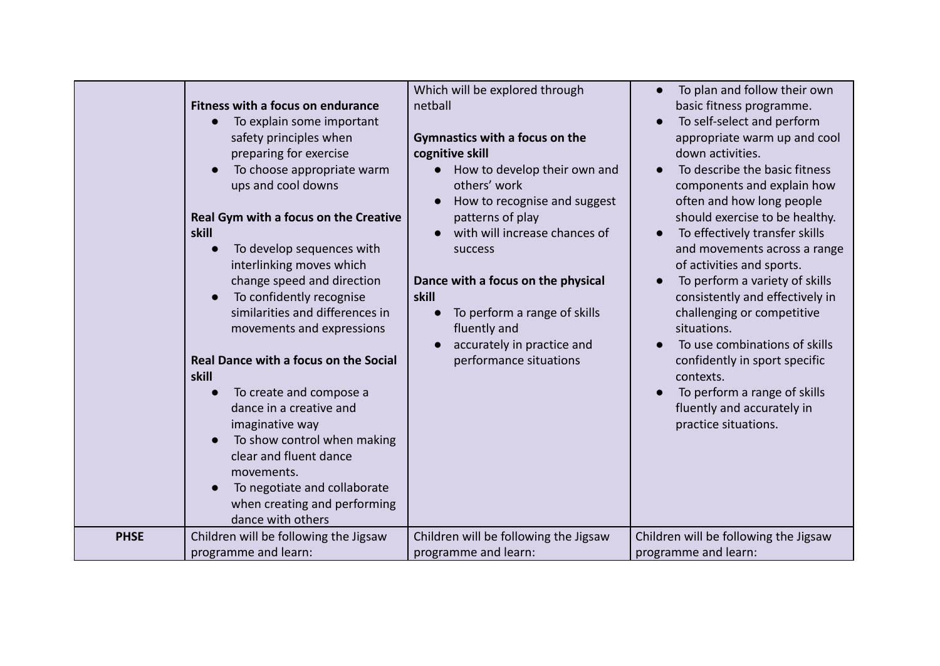| Fitness with a focus on endurance<br>To explain some important<br>safety principles when<br>preparing for exercise<br>To choose appropriate warm<br>ups and cool downs<br>Real Gym with a focus on the Creative<br>skill<br>To develop sequences with<br>interlinking moves which<br>change speed and direction<br>To confidently recognise<br>similarities and differences in<br>movements and expressions<br>Real Dance with a focus on the Social<br>skill<br>To create and compose a<br>dance in a creative and<br>imaginative way<br>To show control when making<br>clear and fluent dance<br>movements.<br>To negotiate and collaborate<br>when creating and performing<br>dance with others<br>Children will be following the Jigsaw<br><b>PHSE</b> | Which will be explored through<br>netball<br>Gymnastics with a focus on the<br>cognitive skill<br>How to develop their own and<br>others' work<br>How to recognise and suggest<br>patterns of play<br>with will increase chances of<br>success<br>Dance with a focus on the physical<br>skill<br>To perform a range of skills<br>$\bullet$<br>fluently and<br>accurately in practice and<br>performance situations | To plan and follow their own<br>basic fitness programme.<br>To self-select and perform<br>appropriate warm up and cool<br>down activities.<br>To describe the basic fitness<br>components and explain how<br>often and how long people<br>should exercise to be healthy.<br>To effectively transfer skills<br>and movements across a range<br>of activities and sports.<br>To perform a variety of skills<br>consistently and effectively in<br>challenging or competitive<br>situations.<br>To use combinations of skills<br>confidently in sport specific<br>contexts.<br>To perform a range of skills<br>fluently and accurately in<br>practice situations. |
|------------------------------------------------------------------------------------------------------------------------------------------------------------------------------------------------------------------------------------------------------------------------------------------------------------------------------------------------------------------------------------------------------------------------------------------------------------------------------------------------------------------------------------------------------------------------------------------------------------------------------------------------------------------------------------------------------------------------------------------------------------|--------------------------------------------------------------------------------------------------------------------------------------------------------------------------------------------------------------------------------------------------------------------------------------------------------------------------------------------------------------------------------------------------------------------|----------------------------------------------------------------------------------------------------------------------------------------------------------------------------------------------------------------------------------------------------------------------------------------------------------------------------------------------------------------------------------------------------------------------------------------------------------------------------------------------------------------------------------------------------------------------------------------------------------------------------------------------------------------|
| programme and learn:                                                                                                                                                                                                                                                                                                                                                                                                                                                                                                                                                                                                                                                                                                                                       | Children will be following the Jigsaw<br>programme and learn:                                                                                                                                                                                                                                                                                                                                                      | Children will be following the Jigsaw<br>programme and learn:                                                                                                                                                                                                                                                                                                                                                                                                                                                                                                                                                                                                  |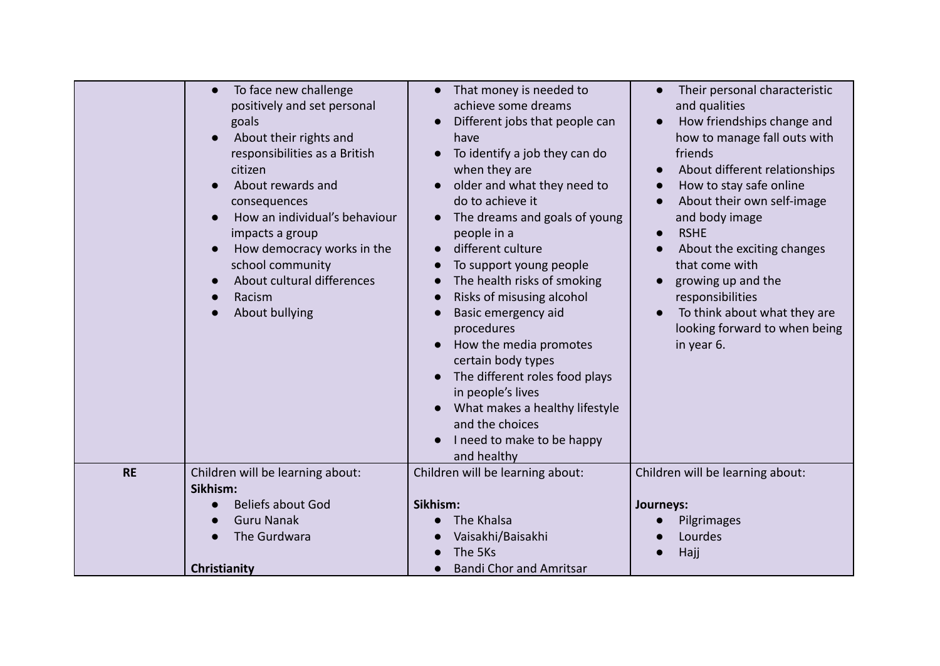|           | To face new challenge<br>positively and set personal<br>goals<br>About their rights and<br>responsibilities as a British<br>citizen<br>About rewards and<br>consequences<br>How an individual's behaviour<br>impacts a group<br>How democracy works in the<br>school community<br>About cultural differences | That money is needed to<br>achieve some dreams<br>Different jobs that people can<br>have<br>To identify a job they can do<br>$\bullet$<br>when they are<br>older and what they need to<br>do to achieve it<br>The dreams and goals of young<br>people in a<br>different culture<br>To support young people<br>$\bullet$<br>The health risks of smoking | Their personal characteristic<br>and qualities<br>How friendships change and<br>how to manage fall outs with<br>friends<br>About different relationships<br>How to stay safe online<br>About their own self-image<br>and body image<br><b>RSHE</b><br>$\bullet$<br>About the exciting changes<br>that come with<br>growing up and the |
|-----------|--------------------------------------------------------------------------------------------------------------------------------------------------------------------------------------------------------------------------------------------------------------------------------------------------------------|--------------------------------------------------------------------------------------------------------------------------------------------------------------------------------------------------------------------------------------------------------------------------------------------------------------------------------------------------------|---------------------------------------------------------------------------------------------------------------------------------------------------------------------------------------------------------------------------------------------------------------------------------------------------------------------------------------|
|           | Racism<br>About bullying                                                                                                                                                                                                                                                                                     | Risks of misusing alcohol<br>$\bullet$<br>Basic emergency aid<br>procedures<br>How the media promotes<br>certain body types<br>The different roles food plays<br>in people's lives<br>What makes a healthy lifestyle<br>and the choices<br>I need to make to be happy<br>and healthy                                                                   | responsibilities<br>To think about what they are<br>looking forward to when being<br>in year 6.                                                                                                                                                                                                                                       |
| <b>RE</b> | Children will be learning about:<br>Sikhism:                                                                                                                                                                                                                                                                 | Children will be learning about:                                                                                                                                                                                                                                                                                                                       | Children will be learning about:                                                                                                                                                                                                                                                                                                      |
|           | <b>Beliefs about God</b>                                                                                                                                                                                                                                                                                     | Sikhism:                                                                                                                                                                                                                                                                                                                                               | Journeys:                                                                                                                                                                                                                                                                                                                             |
|           | <b>Guru Nanak</b>                                                                                                                                                                                                                                                                                            | The Khalsa                                                                                                                                                                                                                                                                                                                                             | Pilgrimages                                                                                                                                                                                                                                                                                                                           |
|           | The Gurdwara                                                                                                                                                                                                                                                                                                 | Vaisakhi/Baisakhi                                                                                                                                                                                                                                                                                                                                      | Lourdes                                                                                                                                                                                                                                                                                                                               |
|           |                                                                                                                                                                                                                                                                                                              | The 5Ks                                                                                                                                                                                                                                                                                                                                                | Hajj                                                                                                                                                                                                                                                                                                                                  |
|           | Christianity                                                                                                                                                                                                                                                                                                 | <b>Bandi Chor and Amritsar</b>                                                                                                                                                                                                                                                                                                                         |                                                                                                                                                                                                                                                                                                                                       |
|           |                                                                                                                                                                                                                                                                                                              |                                                                                                                                                                                                                                                                                                                                                        |                                                                                                                                                                                                                                                                                                                                       |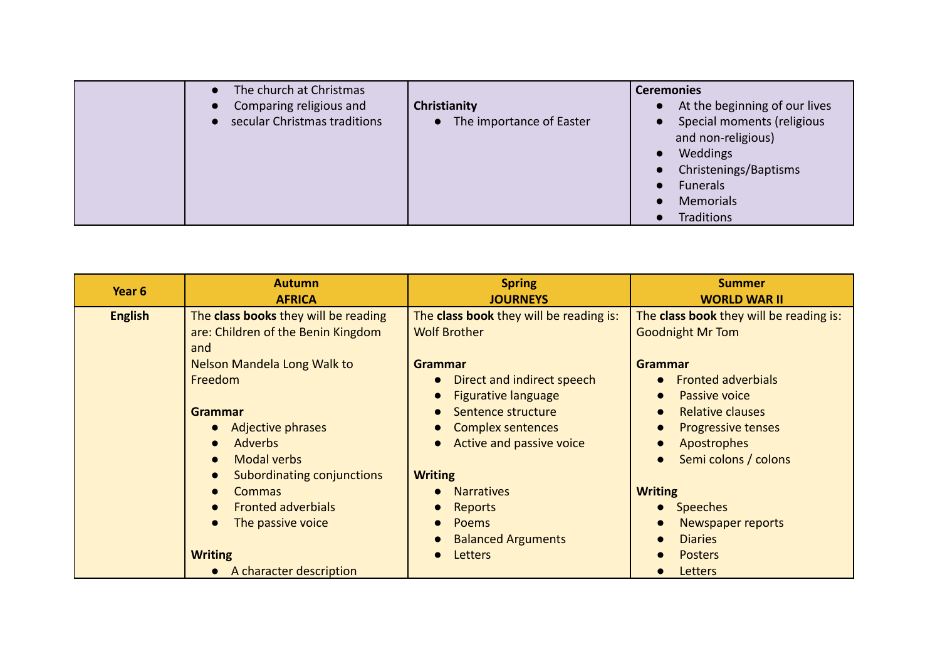| The church at Christmas<br>Comparing religious and<br>secular Christmas traditions | Christianity<br>The importance of Easter<br>$\bullet$ | <b>Ceremonies</b><br>At the beginning of our lives<br>$\bullet$<br>Special moments (religious<br>$\bullet$<br>and non-religious)<br>Weddings<br>$\bullet$<br>Christenings/Baptisms<br>$\bullet$<br><b>Funerals</b><br>$\bullet$<br>Memorials<br>$\bullet$<br>Traditions<br>$\bullet$ |
|------------------------------------------------------------------------------------|-------------------------------------------------------|--------------------------------------------------------------------------------------------------------------------------------------------------------------------------------------------------------------------------------------------------------------------------------------|
|------------------------------------------------------------------------------------|-------------------------------------------------------|--------------------------------------------------------------------------------------------------------------------------------------------------------------------------------------------------------------------------------------------------------------------------------------|

| Year <sub>6</sub> | <b>Autumn</b><br><b>AFRICA</b>                                                                                                                                                                                                                                                                                                                                                           | <b>Spring</b><br><b>JOURNEYS</b>                                                                                                                                                                                                                                                             | <b>Summer</b><br><b>WORLD WAR II</b>                                                                                                                                                                                                                                                               |
|-------------------|------------------------------------------------------------------------------------------------------------------------------------------------------------------------------------------------------------------------------------------------------------------------------------------------------------------------------------------------------------------------------------------|----------------------------------------------------------------------------------------------------------------------------------------------------------------------------------------------------------------------------------------------------------------------------------------------|----------------------------------------------------------------------------------------------------------------------------------------------------------------------------------------------------------------------------------------------------------------------------------------------------|
| <b>English</b>    | The class books they will be reading<br>are: Children of the Benin Kingdom<br>and<br>Nelson Mandela Long Walk to<br>Freedom<br>Grammar<br>Adjective phrases<br>$\bullet$<br><b>Adverbs</b><br>$\bullet$<br><b>Modal verbs</b><br>$\bullet$<br>Subordinating conjunctions<br>$\bullet$<br>Commas<br>$\bullet$<br><b>Fronted adverbials</b><br>$\bullet$<br>The passive voice<br>$\bullet$ | The class book they will be reading is:<br><b>Wolf Brother</b><br>Grammar<br>Direct and indirect speech<br><b>Figurative language</b><br>Sentence structure<br><b>Complex sentences</b><br>Active and passive voice<br><b>Writing</b><br><b>Narratives</b><br><b>Reports</b><br><b>Poems</b> | The class book they will be reading is:<br><b>Goodnight Mr Tom</b><br><b>Grammar</b><br><b>Fronted adverbials</b><br>Passive voice<br><b>Relative clauses</b><br><b>Progressive tenses</b><br>Apostrophes<br>Semi colons / colons<br><b>Writing</b><br><b>Speeches</b><br><b>Newspaper reports</b> |
|                   | <b>Writing</b><br>A character description<br>$\bullet$                                                                                                                                                                                                                                                                                                                                   | <b>Balanced Arguments</b><br><b>Letters</b>                                                                                                                                                                                                                                                  | <b>Diaries</b><br><b>Posters</b><br>Letters                                                                                                                                                                                                                                                        |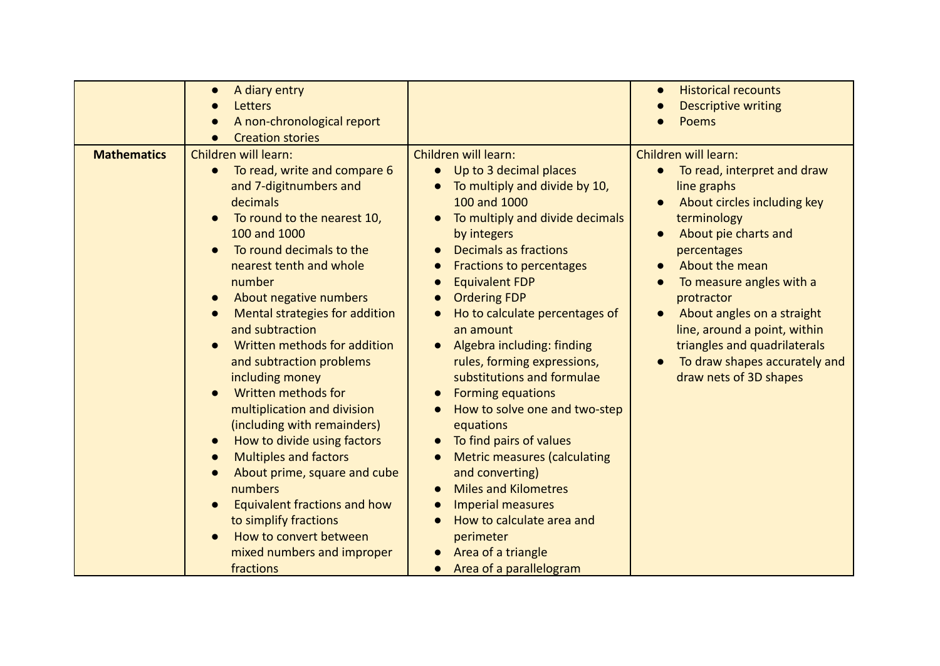| Children will learn:<br>Children will learn:<br>Children will learn:<br><b>Mathematics</b><br>Up to 3 decimal places<br>To read, write and compare 6<br>$\bullet$<br>$\bullet$<br>$\bullet$                                                                                                                                                                                                                                                                                                                                                                                                                                                                                                                                                                                                                                                                                                                                                                                                                                                                                                                                                                                                                                                                                                                                                                                                                                                                                                                                                                                                                                                                                               | A diary entry<br>$\bullet$<br>Letters<br>A non-chronological report<br>$\bullet$ |                               | <b>Historical recounts</b><br>$\bullet$<br><b>Descriptive writing</b><br>Poems |
|-------------------------------------------------------------------------------------------------------------------------------------------------------------------------------------------------------------------------------------------------------------------------------------------------------------------------------------------------------------------------------------------------------------------------------------------------------------------------------------------------------------------------------------------------------------------------------------------------------------------------------------------------------------------------------------------------------------------------------------------------------------------------------------------------------------------------------------------------------------------------------------------------------------------------------------------------------------------------------------------------------------------------------------------------------------------------------------------------------------------------------------------------------------------------------------------------------------------------------------------------------------------------------------------------------------------------------------------------------------------------------------------------------------------------------------------------------------------------------------------------------------------------------------------------------------------------------------------------------------------------------------------------------------------------------------------|----------------------------------------------------------------------------------|-------------------------------|--------------------------------------------------------------------------------|
| 100 and 1000<br>decimals<br>About circles including key<br>To round to the nearest 10,<br>To multiply and divide decimals<br>terminology<br>100 and 1000<br>About pie charts and<br>by integers<br>$\bullet$<br>To round decimals to the<br><b>Decimals as fractions</b><br>percentages<br>nearest tenth and whole<br>About the mean<br><b>Fractions to percentages</b><br>number<br><b>Equivalent FDP</b><br>To measure angles with a<br><b>Ordering FDP</b><br>About negative numbers<br>protractor<br>$\bullet$<br><b>Mental strategies for addition</b><br>Ho to calculate percentages of<br>About angles on a straight<br>$\bullet$<br>$\bullet$<br>and subtraction<br>line, around a point, within<br>an amount<br>Written methods for addition<br>Algebra including: finding<br>triangles and quadrilaterals<br>and subtraction problems<br>rules, forming expressions,<br>substitutions and formulae<br>draw nets of 3D shapes<br>including money<br>Written methods for<br><b>Forming equations</b><br>$\bullet$<br>multiplication and division<br>How to solve one and two-step<br>(including with remainders)<br>equations<br>How to divide using factors<br>To find pairs of values<br>$\bullet$<br>$\bullet$<br><b>Multiples and factors</b><br><b>Metric measures (calculating</b><br>$\bullet$<br>$\bullet$<br>and converting)<br>About prime, square and cube<br>$\bullet$<br><b>Miles and Kilometres</b><br>numbers<br><b>Imperial measures</b><br>Equivalent fractions and how<br>How to calculate area and<br>to simplify fractions<br>How to convert between<br>perimeter<br>Area of a triangle<br>mixed numbers and improper<br>Area of a parallelogram<br>fractions | <b>Creation stories</b><br>and 7-digitnumbers and                                | To multiply and divide by 10, | To read, interpret and draw<br>line graphs<br>To draw shapes accurately and    |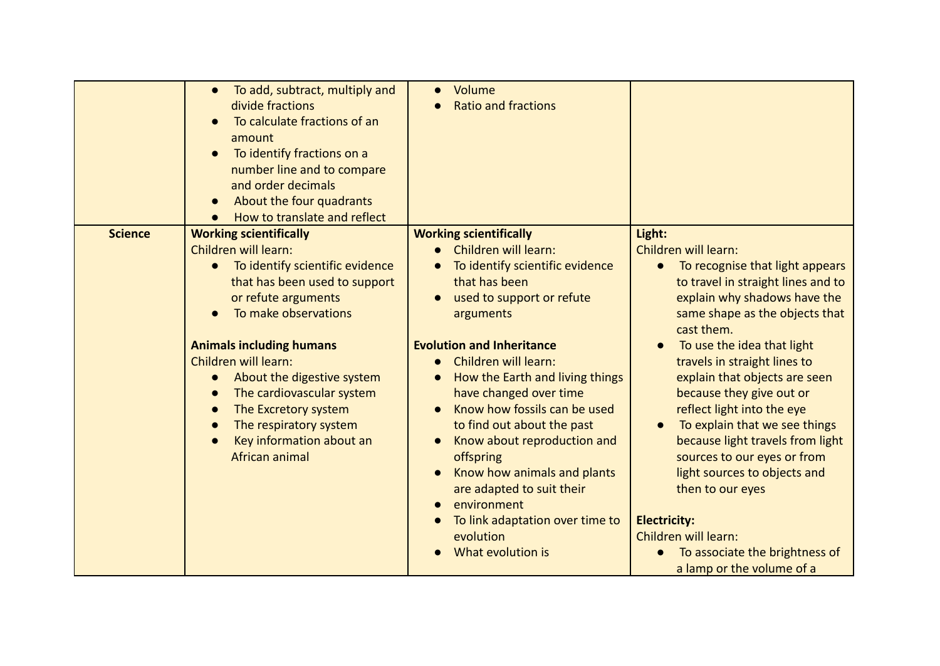|                | To add, subtract, multiply and<br>$\bullet$<br>divide fractions<br>To calculate fractions of an<br>amount<br>To identify fractions on a<br>$\bullet$<br>number line and to compare<br>and order decimals<br>About the four quadrants<br>$\bullet$<br>How to translate and reflect                                                                                                                                                                               | Volume<br><b>Ratio and fractions</b>                                                                                                                                                                                                                                                                                                                                                                                                                                                                                                                                  |                                                                                                                                                                                                                                                                                                                                                                                                                                                                                                                                 |
|----------------|-----------------------------------------------------------------------------------------------------------------------------------------------------------------------------------------------------------------------------------------------------------------------------------------------------------------------------------------------------------------------------------------------------------------------------------------------------------------|-----------------------------------------------------------------------------------------------------------------------------------------------------------------------------------------------------------------------------------------------------------------------------------------------------------------------------------------------------------------------------------------------------------------------------------------------------------------------------------------------------------------------------------------------------------------------|---------------------------------------------------------------------------------------------------------------------------------------------------------------------------------------------------------------------------------------------------------------------------------------------------------------------------------------------------------------------------------------------------------------------------------------------------------------------------------------------------------------------------------|
| <b>Science</b> | <b>Working scientifically</b><br>Children will learn:<br>To identify scientific evidence<br>$\bullet$<br>that has been used to support<br>or refute arguments<br>To make observations<br><b>Animals including humans</b><br>Children will learn:<br>About the digestive system<br>$\bullet$<br>The cardiovascular system<br>The Excretory system<br>$\bullet$<br>The respiratory system<br>$\bullet$<br>Key information about an<br>$\bullet$<br>African animal | <b>Working scientifically</b><br>Children will learn:<br>$\bullet$<br>To identify scientific evidence<br>that has been<br>used to support or refute<br>arguments<br><b>Evolution and Inheritance</b><br>Children will learn:<br>$\bullet$<br>How the Earth and living things<br>$\bullet$<br>have changed over time<br>Know how fossils can be used<br>to find out about the past<br>Know about reproduction and<br>$\bullet$<br>offspring<br>Know how animals and plants<br>$\bullet$<br>are adapted to suit their<br>environment<br>To link adaptation over time to | Light:<br>Children will learn:<br>To recognise that light appears<br>to travel in straight lines and to<br>explain why shadows have the<br>same shape as the objects that<br>cast them.<br>To use the idea that light<br>travels in straight lines to<br>explain that objects are seen<br>because they give out or<br>reflect light into the eye<br>To explain that we see things<br>because light travels from light<br>sources to our eyes or from<br>light sources to objects and<br>then to our eyes<br><b>Electricity:</b> |
|                |                                                                                                                                                                                                                                                                                                                                                                                                                                                                 | evolution<br>What evolution is                                                                                                                                                                                                                                                                                                                                                                                                                                                                                                                                        | Children will learn:<br>To associate the brightness of<br>a lamp or the volume of a                                                                                                                                                                                                                                                                                                                                                                                                                                             |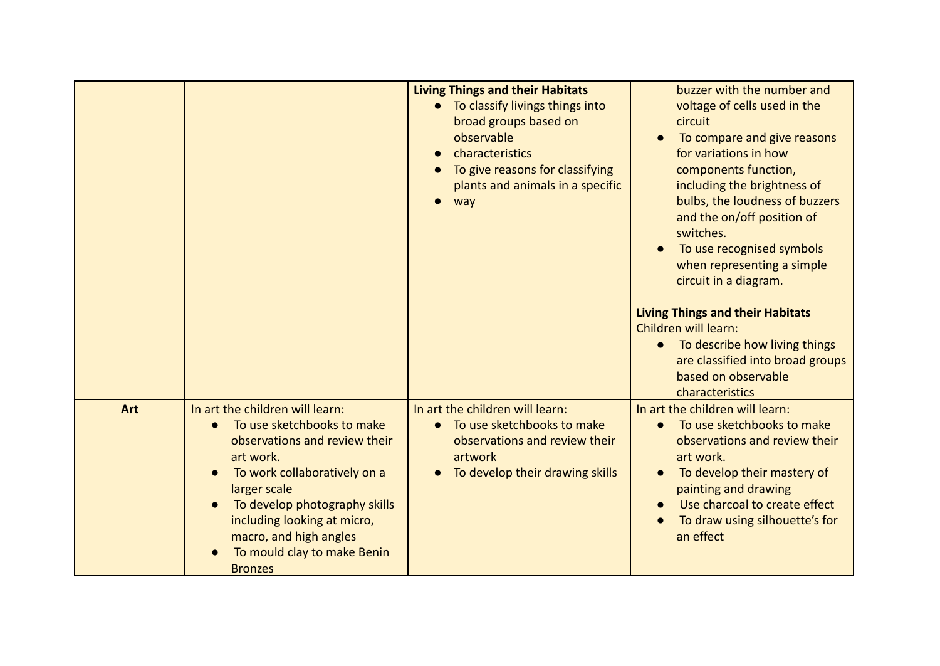|            |                                                                                                                                                                                                                                                                                                        | <b>Living Things and their Habitats</b><br>To classify livings things into<br>broad groups based on<br>observable<br>characteristics<br>To give reasons for classifying<br>plants and animals in a specific<br>way | buzzer with the number and<br>voltage of cells used in the<br>circuit<br>To compare and give reasons<br>for variations in how<br>components function,<br>including the brightness of<br>bulbs, the loudness of buzzers<br>and the on/off position of<br>switches.<br>To use recognised symbols<br>when representing a simple<br>circuit in a diagram.<br><b>Living Things and their Habitats</b><br>Children will learn:<br>To describe how living things<br>are classified into broad groups<br>based on observable |
|------------|--------------------------------------------------------------------------------------------------------------------------------------------------------------------------------------------------------------------------------------------------------------------------------------------------------|--------------------------------------------------------------------------------------------------------------------------------------------------------------------------------------------------------------------|----------------------------------------------------------------------------------------------------------------------------------------------------------------------------------------------------------------------------------------------------------------------------------------------------------------------------------------------------------------------------------------------------------------------------------------------------------------------------------------------------------------------|
| <b>Art</b> | In art the children will learn:<br>To use sketchbooks to make<br>observations and review their<br>art work.<br>To work collaboratively on a<br>larger scale<br>To develop photography skills<br>including looking at micro,<br>macro, and high angles<br>To mould clay to make Benin<br><b>Bronzes</b> | In art the children will learn:<br>To use sketchbooks to make<br>observations and review their<br>artwork<br>To develop their drawing skills                                                                       | characteristics<br>In art the children will learn:<br>To use sketchbooks to make<br>observations and review their<br>art work.<br>To develop their mastery of<br>painting and drawing<br>Use charcoal to create effect<br>To draw using silhouette's for<br>an effect                                                                                                                                                                                                                                                |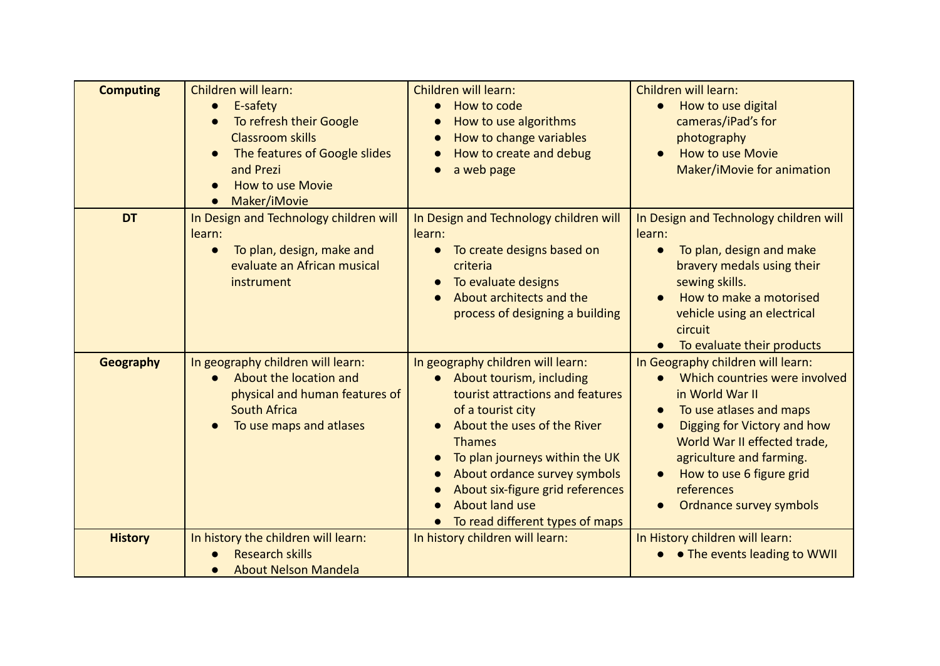| <b>Computing</b> | Children will learn:<br>E-safety<br>$\bullet$<br>To refresh their Google<br><b>Classroom skills</b><br>The features of Google slides<br>and Prezi<br><b>How to use Movie</b><br>Maker/iMovie<br>$\bullet$ | Children will learn:<br>How to code<br>How to use algorithms<br>How to change variables<br>How to create and debug<br>a web page                                                                                                                                                                                                    | Children will learn:<br>How to use digital<br>$\bullet$<br>cameras/iPad's for<br>photography<br><b>How to use Movie</b><br>Maker/iMovie for animation                                                                                                                                         |
|------------------|-----------------------------------------------------------------------------------------------------------------------------------------------------------------------------------------------------------|-------------------------------------------------------------------------------------------------------------------------------------------------------------------------------------------------------------------------------------------------------------------------------------------------------------------------------------|-----------------------------------------------------------------------------------------------------------------------------------------------------------------------------------------------------------------------------------------------------------------------------------------------|
| <b>DT</b>        | In Design and Technology children will<br>learn:<br>To plan, design, make and<br>$\bullet$<br>evaluate an African musical<br>instrument                                                                   | In Design and Technology children will<br>learn:<br>To create designs based on<br>$\bullet$<br>criteria<br>To evaluate designs<br>About architects and the<br>process of designing a building                                                                                                                                       | In Design and Technology children will<br>learn:<br>To plan, design and make<br>$\bullet$<br>bravery medals using their<br>sewing skills.<br>How to make a motorised<br>vehicle using an electrical<br>circuit<br>To evaluate their products                                                  |
| Geography        | In geography children will learn:<br>About the location and<br>physical and human features of<br><b>South Africa</b><br>To use maps and atlases                                                           | In geography children will learn:<br>• About tourism, including<br>tourist attractions and features<br>of a tourist city<br>About the uses of the River<br><b>Thames</b><br>To plan journeys within the UK<br>About ordance survey symbols<br>About six-figure grid references<br>About land use<br>To read different types of maps | In Geography children will learn:<br>Which countries were involved<br>in World War II<br>To use atlases and maps<br>Digging for Victory and how<br>$\bullet$<br>World War II effected trade,<br>agriculture and farming.<br>How to use 6 figure grid<br>references<br>Ordnance survey symbols |
| <b>History</b>   | In history the children will learn:<br><b>Research skills</b><br><b>About Nelson Mandela</b><br>$\bullet$                                                                                                 | In history children will learn:                                                                                                                                                                                                                                                                                                     | In History children will learn:<br>• • The events leading to WWII                                                                                                                                                                                                                             |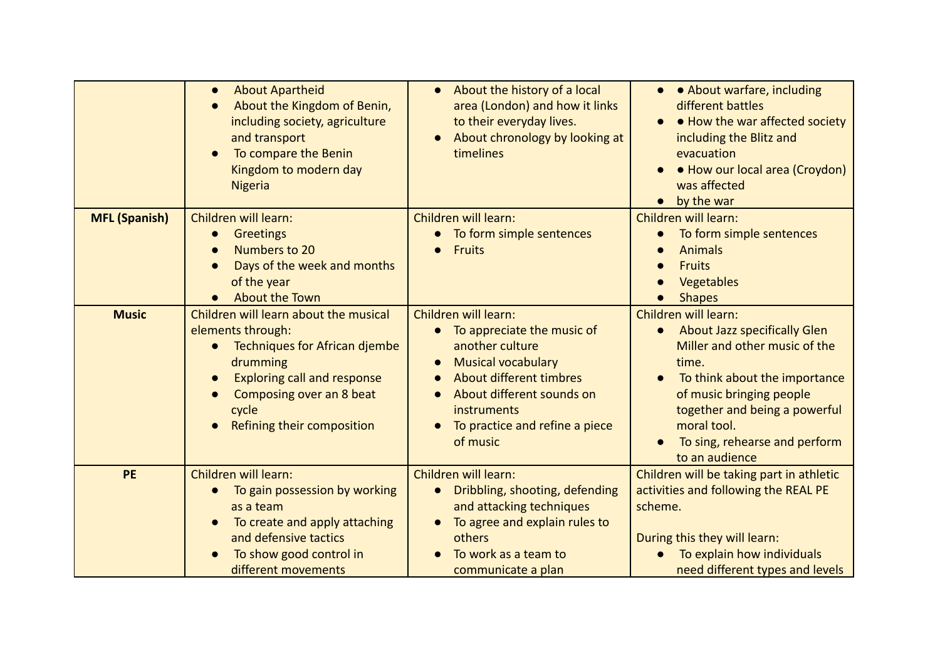|                      | <b>About Apartheid</b><br>$\bullet$<br>About the Kingdom of Benin,<br>including society, agriculture<br>and transport<br>To compare the Benin<br>Kingdom to modern day<br><b>Nigeria</b>                         | • About the history of a local<br>area (London) and how it links<br>to their everyday lives.<br>About chronology by looking at<br>timelines                                                                                                 | • • About warfare, including<br>different battles<br>• How the war affected society<br>including the Blitz and<br>evacuation<br>• How our local area (Croydon)<br>was affected<br>by the war                                                                                |
|----------------------|------------------------------------------------------------------------------------------------------------------------------------------------------------------------------------------------------------------|---------------------------------------------------------------------------------------------------------------------------------------------------------------------------------------------------------------------------------------------|-----------------------------------------------------------------------------------------------------------------------------------------------------------------------------------------------------------------------------------------------------------------------------|
| <b>MFL (Spanish)</b> | Children will learn:<br><b>Greetings</b><br>Numbers to 20<br>$\bullet$<br>Days of the week and months<br>of the year<br><b>About the Town</b>                                                                    | Children will learn:<br>To form simple sentences<br><b>Fruits</b>                                                                                                                                                                           | Children will learn:<br>To form simple sentences<br><b>Animals</b><br><b>Fruits</b><br>Vegetables<br><b>Shapes</b>                                                                                                                                                          |
| <b>Music</b>         | Children will learn about the musical<br>elements through:<br>Techniques for African djembe<br>drumming<br><b>Exploring call and response</b><br>Composing over an 8 beat<br>cycle<br>Refining their composition | Children will learn:<br>To appreciate the music of<br>$\bullet$<br>another culture<br><b>Musical vocabulary</b><br>About different timbres<br>About different sounds on<br><b>instruments</b><br>To practice and refine a piece<br>of music | Children will learn:<br>About Jazz specifically Glen<br>$\bullet$<br>Miller and other music of the<br>time.<br>To think about the importance<br>of music bringing people<br>together and being a powerful<br>moral tool.<br>To sing, rehearse and perform<br>to an audience |
| <b>PE</b>            | Children will learn:<br>To gain possession by working<br>$\bullet$<br>as a team<br>To create and apply attaching<br>and defensive tactics<br>To show good control in<br>different movements                      | Children will learn:<br>Dribbling, shooting, defending<br>$\bullet$<br>and attacking techniques<br>To agree and explain rules to<br>others<br>To work as a team to<br>communicate a plan                                                    | Children will be taking part in athletic<br>activities and following the REAL PE<br>scheme.<br>During this they will learn:<br>To explain how individuals<br>need different types and levels                                                                                |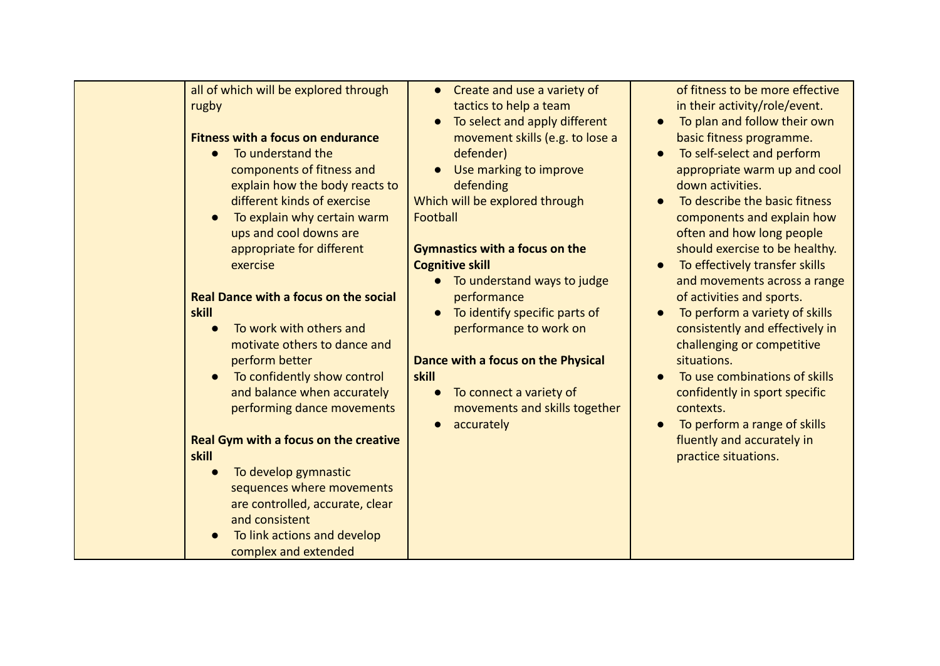| all of which will be explored through<br>rugby<br><b>Fitness with a focus on endurance</b><br>To understand the<br>$\bullet$<br>components of fitness and<br>explain how the body reacts to<br>different kinds of exercise<br>To explain why certain warm<br>$\bullet$<br>ups and cool downs are<br>appropriate for different<br>exercise<br><b>Real Dance with a focus on the social</b><br>skill<br>To work with others and<br>motivate others to dance and<br>perform better<br>To confidently show control<br>$\bullet$<br>and balance when accurately<br>performing dance movements<br><b>Real Gym with a focus on the creative</b><br>skill<br>To develop gymnastic<br>$\bullet$<br>sequences where movements<br>are controlled, accurate, clear<br>and consistent | • Create and use a variety of<br>tactics to help a team<br>To select and apply different<br>movement skills (e.g. to lose a<br>defender)<br>Use marking to improve<br>defending<br>Which will be explored through<br>Football<br><b>Gymnastics with a focus on the</b><br><b>Cognitive skill</b><br>To understand ways to judge<br>$\bullet$<br>performance<br>To identify specific parts of<br>performance to work on<br>Dance with a focus on the Physical<br>skill<br>To connect a variety of<br>movements and skills together<br>accurately | of fitness to be more effective<br>in their activity/role/event.<br>To plan and follow their own<br>basic fitness programme.<br>To self-select and perform<br>appropriate warm up and cool<br>down activities.<br>To describe the basic fitness<br>components and explain how<br>often and how long people<br>should exercise to be healthy.<br>To effectively transfer skills<br>and movements across a range<br>of activities and sports.<br>To perform a variety of skills<br>consistently and effectively in<br>challenging or competitive<br>situations.<br>To use combinations of skills<br>confidently in sport specific<br>contexts.<br>To perform a range of skills<br>fluently and accurately in<br>practice situations. |
|--------------------------------------------------------------------------------------------------------------------------------------------------------------------------------------------------------------------------------------------------------------------------------------------------------------------------------------------------------------------------------------------------------------------------------------------------------------------------------------------------------------------------------------------------------------------------------------------------------------------------------------------------------------------------------------------------------------------------------------------------------------------------|-------------------------------------------------------------------------------------------------------------------------------------------------------------------------------------------------------------------------------------------------------------------------------------------------------------------------------------------------------------------------------------------------------------------------------------------------------------------------------------------------------------------------------------------------|------------------------------------------------------------------------------------------------------------------------------------------------------------------------------------------------------------------------------------------------------------------------------------------------------------------------------------------------------------------------------------------------------------------------------------------------------------------------------------------------------------------------------------------------------------------------------------------------------------------------------------------------------------------------------------------------------------------------------------|
| To link actions and develop<br>complex and extended                                                                                                                                                                                                                                                                                                                                                                                                                                                                                                                                                                                                                                                                                                                      |                                                                                                                                                                                                                                                                                                                                                                                                                                                                                                                                                 |                                                                                                                                                                                                                                                                                                                                                                                                                                                                                                                                                                                                                                                                                                                                    |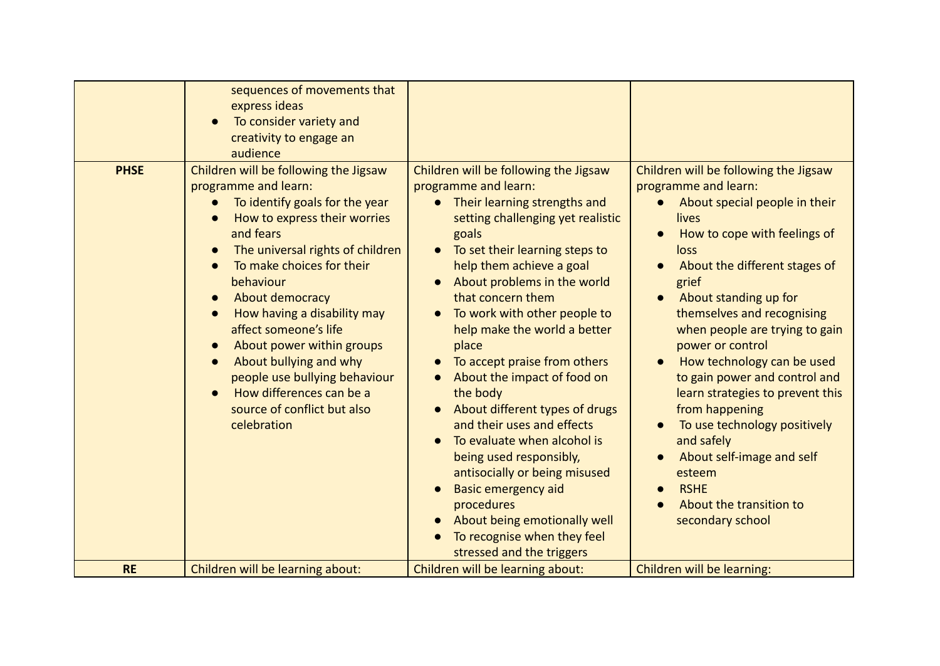| <b>PHSE</b> | sequences of movements that<br>express ideas<br>To consider variety and<br>creativity to engage an<br>audience<br>Children will be following the Jigsaw<br>programme and learn:<br>To identify goals for the year<br>$\bullet$<br>How to express their worries<br>and fears<br>The universal rights of children<br>To make choices for their<br>behaviour<br>About democracy<br>$\bullet$<br>How having a disability may<br>affect someone's life<br>About power within groups<br>$\bullet$<br>About bullying and why<br>$\bullet$<br>people use bullying behaviour<br>How differences can be a<br>source of conflict but also<br>celebration | Children will be following the Jigsaw<br>programme and learn:<br>Their learning strengths and<br>setting challenging yet realistic<br>goals<br>To set their learning steps to<br>$\bullet$<br>help them achieve a goal<br>About problems in the world<br>that concern them<br>To work with other people to<br>help make the world a better<br>place<br>To accept praise from others<br>About the impact of food on<br>the body<br>About different types of drugs<br>and their uses and effects<br>To evaluate when alcohol is<br>being used responsibly,<br>antisocially or being misused<br><b>Basic emergency aid</b><br>procedures<br>About being emotionally well<br>To recognise when they feel<br>stressed and the triggers | Children will be following the Jigsaw<br>programme and learn:<br>About special people in their<br>lives<br>How to cope with feelings of<br>loss<br>About the different stages of<br>grief<br>About standing up for<br>themselves and recognising<br>when people are trying to gain<br>power or control<br>How technology can be used<br>to gain power and control and<br>learn strategies to prevent this<br>from happening<br>To use technology positively<br>and safely<br>About self-image and self<br>esteem<br><b>RSHE</b><br>About the transition to<br>secondary school |
|-------------|-----------------------------------------------------------------------------------------------------------------------------------------------------------------------------------------------------------------------------------------------------------------------------------------------------------------------------------------------------------------------------------------------------------------------------------------------------------------------------------------------------------------------------------------------------------------------------------------------------------------------------------------------|-----------------------------------------------------------------------------------------------------------------------------------------------------------------------------------------------------------------------------------------------------------------------------------------------------------------------------------------------------------------------------------------------------------------------------------------------------------------------------------------------------------------------------------------------------------------------------------------------------------------------------------------------------------------------------------------------------------------------------------|--------------------------------------------------------------------------------------------------------------------------------------------------------------------------------------------------------------------------------------------------------------------------------------------------------------------------------------------------------------------------------------------------------------------------------------------------------------------------------------------------------------------------------------------------------------------------------|
| <b>RE</b>   | Children will be learning about:                                                                                                                                                                                                                                                                                                                                                                                                                                                                                                                                                                                                              | Children will be learning about:                                                                                                                                                                                                                                                                                                                                                                                                                                                                                                                                                                                                                                                                                                  | Children will be learning:                                                                                                                                                                                                                                                                                                                                                                                                                                                                                                                                                     |